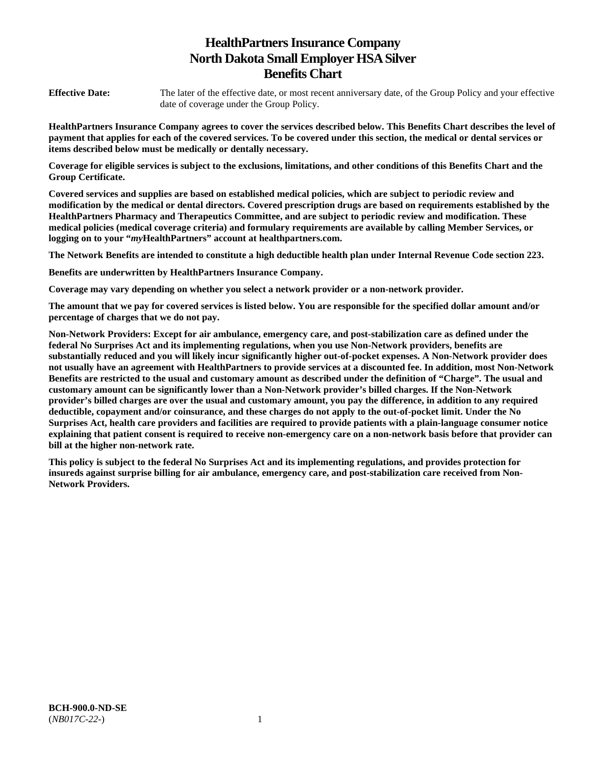# **HealthPartners Insurance Company North Dakota Small Employer HSA Silver Benefits Chart**

**Effective Date:** The later of the effective date, or most recent anniversary date, of the Group Policy and your effective date of coverage under the Group Policy.

**HealthPartners Insurance Company agrees to cover the services described below. This Benefits Chart describes the level of payment that applies for each of the covered services. To be covered under this section, the medical or dental services or items described below must be medically or dentally necessary.** 

**Coverage for eligible services is subject to the exclusions, limitations, and other conditions of this Benefits Chart and the Group Certificate.** 

**Covered services and supplies are based on established medical policies, which are subject to periodic review and modification by the medical or dental directors. Covered prescription drugs are based on requirements established by the HealthPartners Pharmacy and Therapeutics Committee, and are subject to periodic review and modification. These medical policies (medical coverage criteria) and formulary requirements are available by calling Member Services, or logging on to your "***my***HealthPartners" account at [healthpartners.com.](http://healthpartners.com/)** 

**The Network Benefits are intended to constitute a high deductible health plan under Internal Revenue Code section 223.**

**Benefits are underwritten by HealthPartners Insurance Company.** 

**Coverage may vary depending on whether you select a network provider or a non-network provider.** 

**The amount that we pay for covered services is listed below. You are responsible for the specified dollar amount and/or percentage of charges that we do not pay.** 

**Non-Network Providers: Except for air ambulance, emergency care, and post-stabilization care as defined under the federal No Surprises Act and its implementing regulations, when you use Non-Network providers, benefits are substantially reduced and you will likely incur significantly higher out-of-pocket expenses. A Non-Network provider does not usually have an agreement with HealthPartners to provide services at a discounted fee. In addition, most Non-Network Benefits are restricted to the usual and customary amount as described under the definition of "Charge". The usual and customary amount can be significantly lower than a Non-Network provider's billed charges. If the Non-Network provider's billed charges are over the usual and customary amount, you pay the difference, in addition to any required deductible, copayment and/or coinsurance, and these charges do not apply to the out-of-pocket limit. Under the No Surprises Act, health care providers and facilities are required to provide patients with a plain-language consumer notice explaining that patient consent is required to receive non-emergency care on a non-network basis before that provider can bill at the higher non-network rate.** 

**This policy is subject to the federal No Surprises Act and its implementing regulations, and provides protection for insureds against surprise billing for air ambulance, emergency care, and post-stabilization care received from Non-Network Providers.**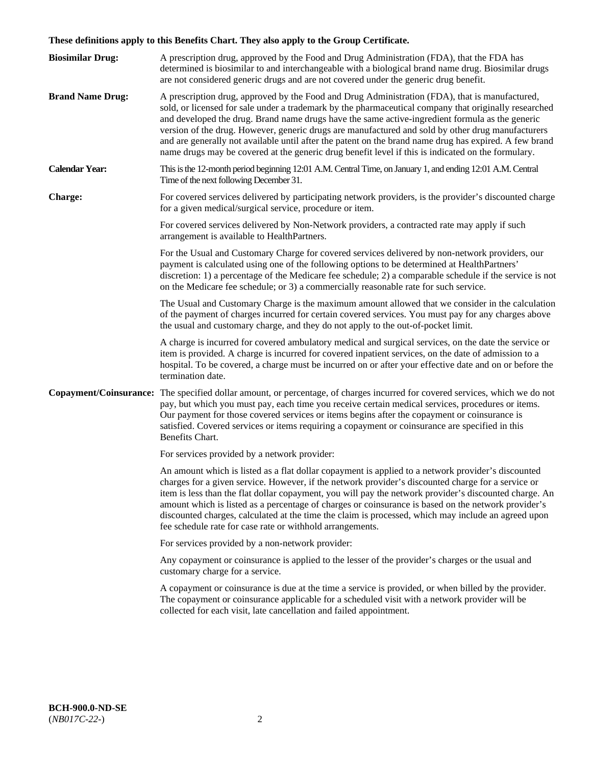# **These definitions apply to this Benefits Chart. They also apply to the Group Certificate.**

| <b>Biosimilar Drug:</b> | A prescription drug, approved by the Food and Drug Administration (FDA), that the FDA has<br>determined is biosimilar to and interchangeable with a biological brand name drug. Biosimilar drugs<br>are not considered generic drugs and are not covered under the generic drug benefit.                                                                                                                                                                                                                                                                                                                                        |
|-------------------------|---------------------------------------------------------------------------------------------------------------------------------------------------------------------------------------------------------------------------------------------------------------------------------------------------------------------------------------------------------------------------------------------------------------------------------------------------------------------------------------------------------------------------------------------------------------------------------------------------------------------------------|
| <b>Brand Name Drug:</b> | A prescription drug, approved by the Food and Drug Administration (FDA), that is manufactured,<br>sold, or licensed for sale under a trademark by the pharmaceutical company that originally researched<br>and developed the drug. Brand name drugs have the same active-ingredient formula as the generic<br>version of the drug. However, generic drugs are manufactured and sold by other drug manufacturers<br>and are generally not available until after the patent on the brand name drug has expired. A few brand<br>name drugs may be covered at the generic drug benefit level if this is indicated on the formulary. |
| <b>Calendar Year:</b>   | This is the 12-month period beginning 12:01 A.M. Central Time, on January 1, and ending 12:01 A.M. Central<br>Time of the next following December 31.                                                                                                                                                                                                                                                                                                                                                                                                                                                                           |
| <b>Charge:</b>          | For covered services delivered by participating network providers, is the provider's discounted charge<br>for a given medical/surgical service, procedure or item.                                                                                                                                                                                                                                                                                                                                                                                                                                                              |
|                         | For covered services delivered by Non-Network providers, a contracted rate may apply if such<br>arrangement is available to HealthPartners.                                                                                                                                                                                                                                                                                                                                                                                                                                                                                     |
|                         | For the Usual and Customary Charge for covered services delivered by non-network providers, our<br>payment is calculated using one of the following options to be determined at HealthPartners'<br>discretion: 1) a percentage of the Medicare fee schedule; 2) a comparable schedule if the service is not<br>on the Medicare fee schedule; or 3) a commercially reasonable rate for such service.                                                                                                                                                                                                                             |
|                         | The Usual and Customary Charge is the maximum amount allowed that we consider in the calculation<br>of the payment of charges incurred for certain covered services. You must pay for any charges above<br>the usual and customary charge, and they do not apply to the out-of-pocket limit.                                                                                                                                                                                                                                                                                                                                    |
|                         | A charge is incurred for covered ambulatory medical and surgical services, on the date the service or<br>item is provided. A charge is incurred for covered inpatient services, on the date of admission to a<br>hospital. To be covered, a charge must be incurred on or after your effective date and on or before the<br>termination date.                                                                                                                                                                                                                                                                                   |
|                         | Copayment/Coinsurance: The specified dollar amount, or percentage, of charges incurred for covered services, which we do not<br>pay, but which you must pay, each time you receive certain medical services, procedures or items.<br>Our payment for those covered services or items begins after the copayment or coinsurance is<br>satisfied. Covered services or items requiring a copayment or coinsurance are specified in this<br>Benefits Chart.                                                                                                                                                                         |
|                         | For services provided by a network provider:                                                                                                                                                                                                                                                                                                                                                                                                                                                                                                                                                                                    |
|                         | An amount which is listed as a flat dollar copayment is applied to a network provider's discounted<br>charges for a given service. However, if the network provider's discounted charge for a service or<br>item is less than the flat dollar copayment, you will pay the network provider's discounted charge. An<br>amount which is listed as a percentage of charges or coinsurance is based on the network provider's<br>discounted charges, calculated at the time the claim is processed, which may include an agreed upon<br>fee schedule rate for case rate or withhold arrangements.                                   |
|                         | For services provided by a non-network provider:                                                                                                                                                                                                                                                                                                                                                                                                                                                                                                                                                                                |
|                         | Any copayment or coinsurance is applied to the lesser of the provider's charges or the usual and<br>customary charge for a service.                                                                                                                                                                                                                                                                                                                                                                                                                                                                                             |
|                         | A copayment or coinsurance is due at the time a service is provided, or when billed by the provider.<br>The copayment or coinsurance applicable for a scheduled visit with a network provider will be<br>collected for each visit, late cancellation and failed appointment.                                                                                                                                                                                                                                                                                                                                                    |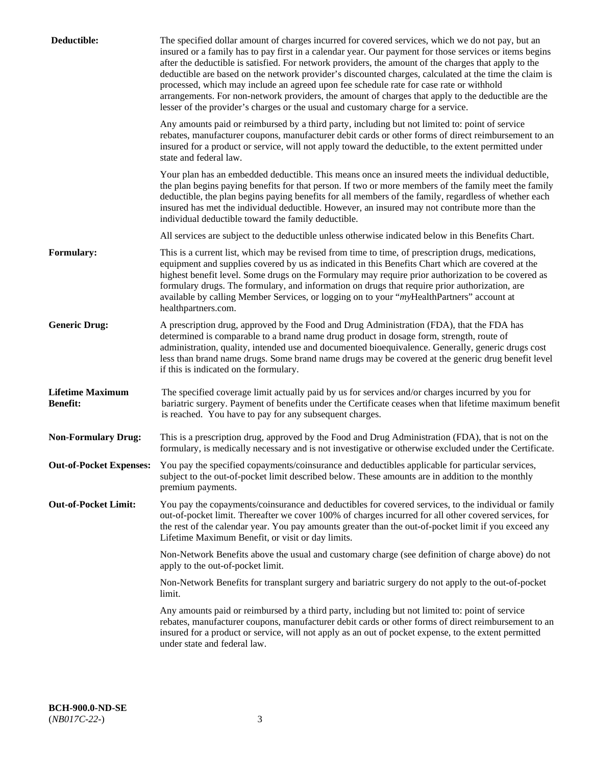| Deductible:                                | The specified dollar amount of charges incurred for covered services, which we do not pay, but an<br>insured or a family has to pay first in a calendar year. Our payment for those services or items begins<br>after the deductible is satisfied. For network providers, the amount of the charges that apply to the<br>deductible are based on the network provider's discounted charges, calculated at the time the claim is<br>processed, which may include an agreed upon fee schedule rate for case rate or withhold<br>arrangements. For non-network providers, the amount of charges that apply to the deductible are the<br>lesser of the provider's charges or the usual and customary charge for a service. |
|--------------------------------------------|------------------------------------------------------------------------------------------------------------------------------------------------------------------------------------------------------------------------------------------------------------------------------------------------------------------------------------------------------------------------------------------------------------------------------------------------------------------------------------------------------------------------------------------------------------------------------------------------------------------------------------------------------------------------------------------------------------------------|
|                                            | Any amounts paid or reimbursed by a third party, including but not limited to: point of service<br>rebates, manufacturer coupons, manufacturer debit cards or other forms of direct reimbursement to an<br>insured for a product or service, will not apply toward the deductible, to the extent permitted under<br>state and federal law.                                                                                                                                                                                                                                                                                                                                                                             |
|                                            | Your plan has an embedded deductible. This means once an insured meets the individual deductible,<br>the plan begins paying benefits for that person. If two or more members of the family meet the family<br>deductible, the plan begins paying benefits for all members of the family, regardless of whether each<br>insured has met the individual deductible. However, an insured may not contribute more than the<br>individual deductible toward the family deductible.                                                                                                                                                                                                                                          |
|                                            | All services are subject to the deductible unless otherwise indicated below in this Benefits Chart.                                                                                                                                                                                                                                                                                                                                                                                                                                                                                                                                                                                                                    |
| <b>Formulary:</b>                          | This is a current list, which may be revised from time to time, of prescription drugs, medications,<br>equipment and supplies covered by us as indicated in this Benefits Chart which are covered at the<br>highest benefit level. Some drugs on the Formulary may require prior authorization to be covered as<br>formulary drugs. The formulary, and information on drugs that require prior authorization, are<br>available by calling Member Services, or logging on to your "myHealthPartners" account at<br>healthpartners.com.                                                                                                                                                                                  |
| <b>Generic Drug:</b>                       | A prescription drug, approved by the Food and Drug Administration (FDA), that the FDA has<br>determined is comparable to a brand name drug product in dosage form, strength, route of<br>administration, quality, intended use and documented bioequivalence. Generally, generic drugs cost<br>less than brand name drugs. Some brand name drugs may be covered at the generic drug benefit level<br>if this is indicated on the formulary.                                                                                                                                                                                                                                                                            |
| <b>Lifetime Maximum</b><br><b>Benefit:</b> | The specified coverage limit actually paid by us for services and/or charges incurred by you for<br>bariatric surgery. Payment of benefits under the Certificate ceases when that lifetime maximum benefit<br>is reached. You have to pay for any subsequent charges.                                                                                                                                                                                                                                                                                                                                                                                                                                                  |
| <b>Non-Formulary Drug:</b>                 | This is a prescription drug, approved by the Food and Drug Administration (FDA), that is not on the<br>formulary, is medically necessary and is not investigative or otherwise excluded under the Certificate.                                                                                                                                                                                                                                                                                                                                                                                                                                                                                                         |
|                                            | Out-of-Pocket Expenses: You pay the specified copayments/coinsurance and deductibles applicable for particular services,<br>subject to the out-of-pocket limit described below. These amounts are in addition to the monthly<br>premium payments.                                                                                                                                                                                                                                                                                                                                                                                                                                                                      |
| <b>Out-of-Pocket Limit:</b>                | You pay the copayments/coinsurance and deductibles for covered services, to the individual or family<br>out-of-pocket limit. Thereafter we cover 100% of charges incurred for all other covered services, for<br>the rest of the calendar year. You pay amounts greater than the out-of-pocket limit if you exceed any<br>Lifetime Maximum Benefit, or visit or day limits.                                                                                                                                                                                                                                                                                                                                            |
|                                            | Non-Network Benefits above the usual and customary charge (see definition of charge above) do not<br>apply to the out-of-pocket limit.                                                                                                                                                                                                                                                                                                                                                                                                                                                                                                                                                                                 |
|                                            | Non-Network Benefits for transplant surgery and bariatric surgery do not apply to the out-of-pocket<br>limit.                                                                                                                                                                                                                                                                                                                                                                                                                                                                                                                                                                                                          |
|                                            | Any amounts paid or reimbursed by a third party, including but not limited to: point of service<br>rebates, manufacturer coupons, manufacturer debit cards or other forms of direct reimbursement to an<br>insured for a product or service, will not apply as an out of pocket expense, to the extent permitted<br>under state and federal law.                                                                                                                                                                                                                                                                                                                                                                       |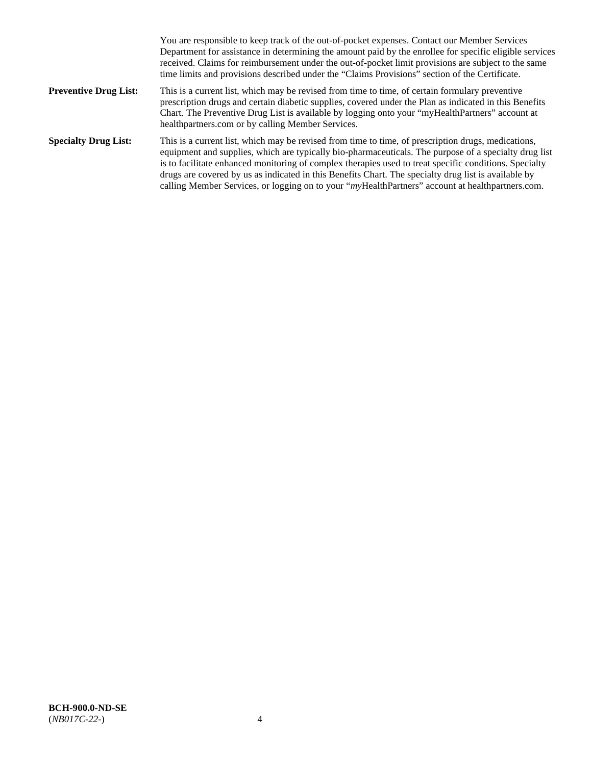|                              | You are responsible to keep track of the out-of-pocket expenses. Contact our Member Services<br>Department for assistance in determining the amount paid by the enrollee for specific eligible services<br>received. Claims for reimbursement under the out-of-pocket limit provisions are subject to the same<br>time limits and provisions described under the "Claims Provisions" section of the Certificate.                                                                                                                   |
|------------------------------|------------------------------------------------------------------------------------------------------------------------------------------------------------------------------------------------------------------------------------------------------------------------------------------------------------------------------------------------------------------------------------------------------------------------------------------------------------------------------------------------------------------------------------|
| <b>Preventive Drug List:</b> | This is a current list, which may be revised from time to time, of certain formulary preventive<br>prescription drugs and certain diabetic supplies, covered under the Plan as indicated in this Benefits<br>Chart. The Preventive Drug List is available by logging onto your "myHealthPartners" account at<br>healthpartners.com or by calling Member Services.                                                                                                                                                                  |
| <b>Specialty Drug List:</b>  | This is a current list, which may be revised from time to time, of prescription drugs, medications,<br>equipment and supplies, which are typically bio-pharmaceuticals. The purpose of a specialty drug list<br>is to facilitate enhanced monitoring of complex therapies used to treat specific conditions. Specialty<br>drugs are covered by us as indicated in this Benefits Chart. The specialty drug list is available by<br>calling Member Services, or logging on to your "myHealthPartners" account at healthpartners.com. |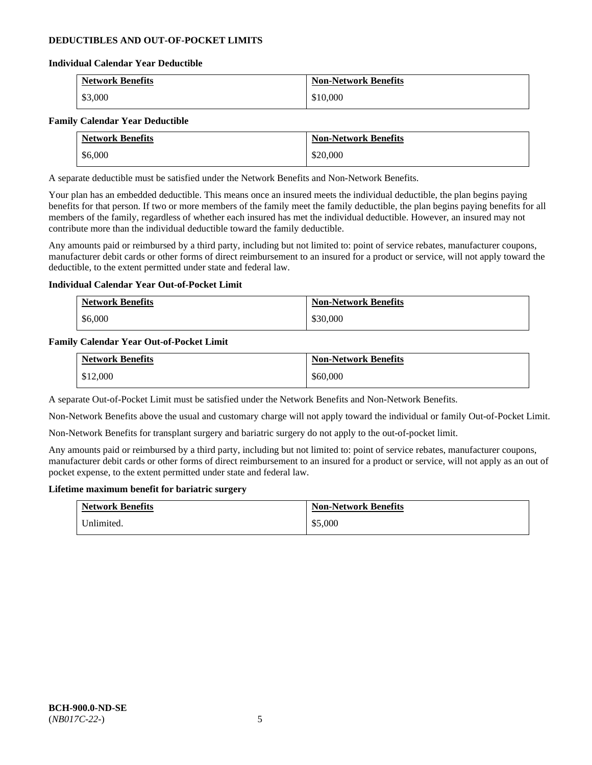### **DEDUCTIBLES AND OUT-OF-POCKET LIMITS**

### **Individual Calendar Year Deductible**

| <b>Network Benefits</b> | <b>Non-Network Benefits</b> |
|-------------------------|-----------------------------|
| \$3,000                 | \$10,000                    |

### **Family Calendar Year Deductible**

| <b>Network Benefits</b> | <b>Non-Network Benefits</b> |
|-------------------------|-----------------------------|
| \$6,000                 | \$20,000                    |

A separate deductible must be satisfied under the Network Benefits and Non-Network Benefits.

Your plan has an embedded deductible. This means once an insured meets the individual deductible, the plan begins paying benefits for that person. If two or more members of the family meet the family deductible, the plan begins paying benefits for all members of the family, regardless of whether each insured has met the individual deductible. However, an insured may not contribute more than the individual deductible toward the family deductible.

Any amounts paid or reimbursed by a third party, including but not limited to: point of service rebates, manufacturer coupons, manufacturer debit cards or other forms of direct reimbursement to an insured for a product or service, will not apply toward the deductible, to the extent permitted under state and federal law.

### **Individual Calendar Year Out-of-Pocket Limit**

| <b>Network Benefits</b> | <b>Non-Network Benefits</b> |
|-------------------------|-----------------------------|
| \$6,000                 | \$30,000                    |

### **Family Calendar Year Out-of-Pocket Limit**

| <b>Network Benefits</b> | <b>Non-Network Benefits</b> |
|-------------------------|-----------------------------|
| \$12,000                | \$60,000                    |

A separate Out-of-Pocket Limit must be satisfied under the Network Benefits and Non-Network Benefits.

Non-Network Benefits above the usual and customary charge will not apply toward the individual or family Out-of-Pocket Limit.

Non-Network Benefits for transplant surgery and bariatric surgery do not apply to the out-of-pocket limit.

Any amounts paid or reimbursed by a third party, including but not limited to: point of service rebates, manufacturer coupons, manufacturer debit cards or other forms of direct reimbursement to an insured for a product or service, will not apply as an out of pocket expense, to the extent permitted under state and federal law.

#### **Lifetime maximum benefit for bariatric surgery**

| <b>Network Benefits</b> | <b>Non-Network Benefits</b> |
|-------------------------|-----------------------------|
| Unlimited.              | \$5,000                     |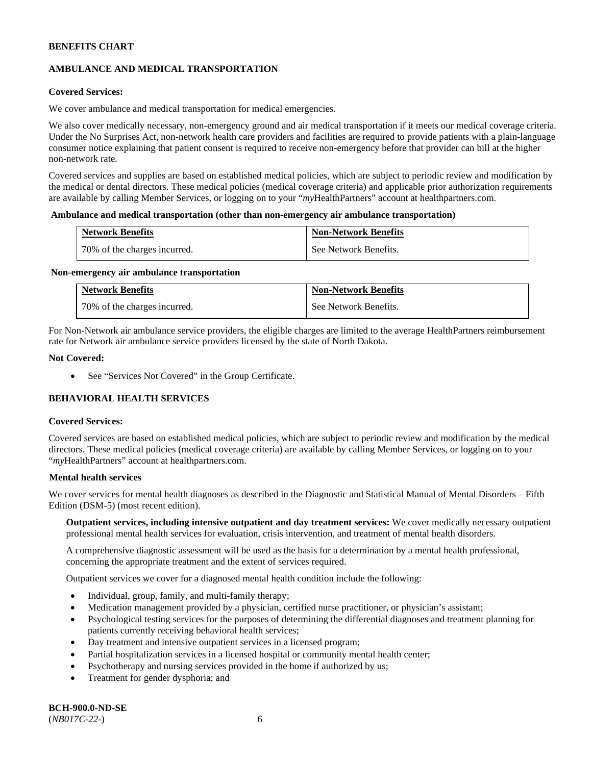# **AMBULANCE AND MEDICAL TRANSPORTATION**

### **Covered Services:**

We cover ambulance and medical transportation for medical emergencies.

We also cover medically necessary, non-emergency ground and air medical transportation if it meets our medical coverage criteria. Under the No Surprises Act, non-network health care providers and facilities are required to provide patients with a plain-language consumer notice explaining that patient consent is required to receive non-emergency before that provider can bill at the higher non-network rate.

Covered services and supplies are based on established medical policies, which are subject to periodic review and modification by the medical or dental directors. These medical policies (medical coverage criteria) and applicable prior authorization requirements are available by calling Member Services, or logging on to your "*my*HealthPartners" account a[t healthpartners.com.](http://www.healthpartners.com/)

#### **Ambulance and medical transportation (other than non-emergency air ambulance transportation)**

| <b>Network Benefits</b>      | <b>Non-Network Benefits</b> |
|------------------------------|-----------------------------|
| 70% of the charges incurred. | See Network Benefits.       |

#### **Non-emergency air ambulance transportation**

| <b>Network Benefits</b>      | <b>Non-Network Benefits</b> |
|------------------------------|-----------------------------|
| 70% of the charges incurred. | See Network Benefits.       |

For Non-Network air ambulance service providers, the eligible charges are limited to the average HealthPartners reimbursement rate for Network air ambulance service providers licensed by the state of North Dakota.

### **Not Covered:**

• See "Services Not Covered" in the Group Certificate.

# **BEHAVIORAL HEALTH SERVICES**

#### **Covered Services:**

Covered services are based on established medical policies, which are subject to periodic review and modification by the medical directors. These medical policies (medical coverage criteria) are available by calling Member Services, or logging on to your "*my*HealthPartners" account at [healthpartners.com.](http://healthpartners.com/)

### **Mental health services**

We cover services for mental health diagnoses as described in the Diagnostic and Statistical Manual of Mental Disorders – Fifth Edition (DSM-5) (most recent edition).

**Outpatient services, including intensive outpatient and day treatment services:** We cover medically necessary outpatient professional mental health services for evaluation, crisis intervention, and treatment of mental health disorders.

A comprehensive diagnostic assessment will be used as the basis for a determination by a mental health professional, concerning the appropriate treatment and the extent of services required.

Outpatient services we cover for a diagnosed mental health condition include the following:

- Individual, group, family, and multi-family therapy;
- Medication management provided by a physician, certified nurse practitioner, or physician's assistant;
- Psychological testing services for the purposes of determining the differential diagnoses and treatment planning for patients currently receiving behavioral health services;
- Day treatment and intensive outpatient services in a licensed program;
- Partial hospitalization services in a licensed hospital or community mental health center;
- Psychotherapy and nursing services provided in the home if authorized by us;
- Treatment for gender dysphoria; and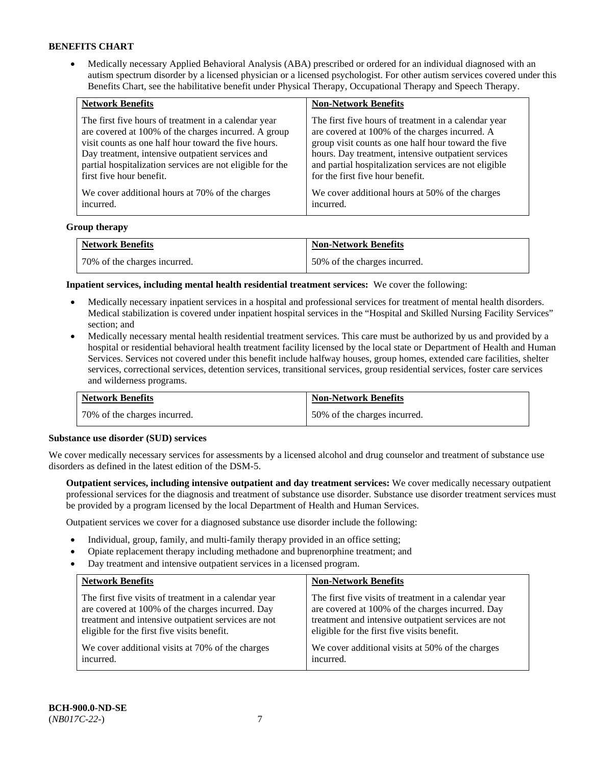• Medically necessary Applied Behavioral Analysis (ABA) prescribed or ordered for an individual diagnosed with an autism spectrum disorder by a licensed physician or a licensed psychologist. For other autism services covered under this Benefits Chart, see the habilitative benefit under Physical Therapy, Occupational Therapy and Speech Therapy.

| <b>Network Benefits</b>                                   | <b>Non-Network Benefits</b>                           |
|-----------------------------------------------------------|-------------------------------------------------------|
| The first five hours of treatment in a calendar year      | The first five hours of treatment in a calendar year  |
| are covered at 100% of the charges incurred. A group      | are covered at 100% of the charges incurred. A        |
| visit counts as one half hour toward the five hours.      | group visit counts as one half hour toward the five   |
| Day treatment, intensive outpatient services and          | hours. Day treatment, intensive outpatient services   |
| partial hospitalization services are not eligible for the | and partial hospitalization services are not eligible |
| first five hour benefit.                                  | for the first five hour benefit.                      |
| We cover additional hours at 70% of the charges           | We cover additional hours at 50% of the charges       |
| incurred.                                                 | incurred.                                             |

### **Group therapy**

| <b>Network Benefits</b>        | <b>Non-Network Benefits</b>  |
|--------------------------------|------------------------------|
| 1 70% of the charges incurred. | 50% of the charges incurred. |

**Inpatient services, including mental health residential treatment services:** We cover the following:

- Medically necessary inpatient services in a hospital and professional services for treatment of mental health disorders. Medical stabilization is covered under inpatient hospital services in the "Hospital and Skilled Nursing Facility Services" section; and
- Medically necessary mental health residential treatment services. This care must be authorized by us and provided by a hospital or residential behavioral health treatment facility licensed by the local state or Department of Health and Human Services. Services not covered under this benefit include halfway houses, group homes, extended care facilities, shelter services, correctional services, detention services, transitional services, group residential services, foster care services and wilderness programs.

| <b>Network Benefits</b>      | <b>Non-Network Benefits</b>  |
|------------------------------|------------------------------|
| 70% of the charges incurred. | 50% of the charges incurred. |

#### **Substance use disorder (SUD) services**

We cover medically necessary services for assessments by a licensed alcohol and drug counselor and treatment of substance use disorders as defined in the latest edition of the DSM-5.

**Outpatient services, including intensive outpatient and day treatment services:** We cover medically necessary outpatient professional services for the diagnosis and treatment of substance use disorder. Substance use disorder treatment services must be provided by a program licensed by the local Department of Health and Human Services.

Outpatient services we cover for a diagnosed substance use disorder include the following:

- Individual, group, family, and multi-family therapy provided in an office setting;
- Opiate replacement therapy including methadone and buprenorphine treatment; and
- Day treatment and intensive outpatient services in a licensed program.

| <b>Network Benefits</b>                               | <b>Non-Network Benefits</b>                           |
|-------------------------------------------------------|-------------------------------------------------------|
| The first five visits of treatment in a calendar year | The first five visits of treatment in a calendar year |
| are covered at 100% of the charges incurred. Day      | are covered at 100% of the charges incurred. Day      |
| treatment and intensive outpatient services are not   | treatment and intensive outpatient services are not   |
| eligible for the first five visits benefit.           | eligible for the first five visits benefit.           |
| We cover additional visits at 70% of the charges      | We cover additional visits at 50% of the charges      |
| incurred.                                             | incurred.                                             |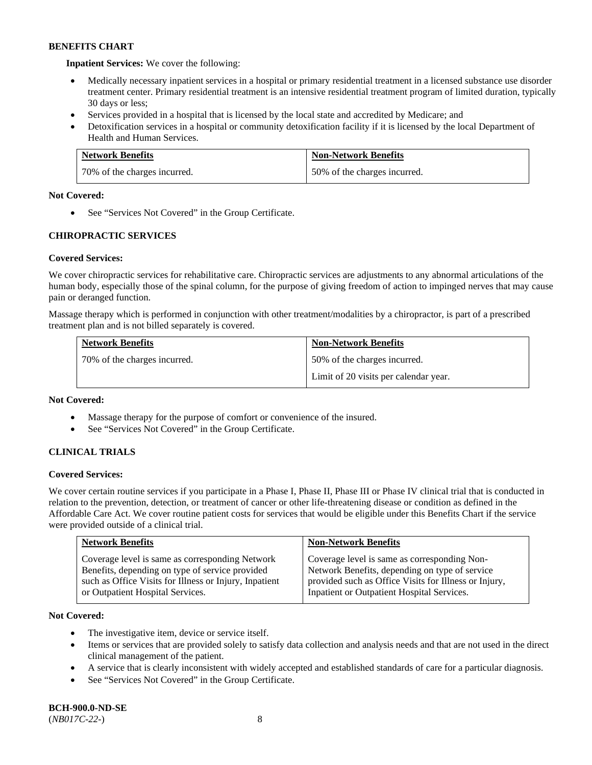**Inpatient Services:** We cover the following:

- Medically necessary inpatient services in a hospital or primary residential treatment in a licensed substance use disorder treatment center. Primary residential treatment is an intensive residential treatment program of limited duration, typically 30 days or less;
- Services provided in a hospital that is licensed by the local state and accredited by Medicare; and
- Detoxification services in a hospital or community detoxification facility if it is licensed by the local Department of Health and Human Services.

| <b>Network Benefits</b>      | <b>Non-Network Benefits</b>  |
|------------------------------|------------------------------|
| 70% of the charges incurred. | 50% of the charges incurred. |

### **Not Covered:**

• See "Services Not Covered" in the Group Certificate.

# **CHIROPRACTIC SERVICES**

# **Covered Services:**

We cover chiropractic services for rehabilitative care. Chiropractic services are adjustments to any abnormal articulations of the human body, especially those of the spinal column, for the purpose of giving freedom of action to impinged nerves that may cause pain or deranged function.

Massage therapy which is performed in conjunction with other treatment/modalities by a chiropractor, is part of a prescribed treatment plan and is not billed separately is covered.

| <b>Network Benefits</b>      | <b>Non-Network Benefits</b>           |
|------------------------------|---------------------------------------|
| 70% of the charges incurred. | 50% of the charges incurred.          |
|                              | Limit of 20 visits per calendar year. |

### **Not Covered:**

- Massage therapy for the purpose of comfort or convenience of the insured.
- See "Services Not Covered" in the Group Certificate.

# **CLINICAL TRIALS**

### **Covered Services:**

We cover certain routine services if you participate in a Phase I, Phase II, Phase III or Phase IV clinical trial that is conducted in relation to the prevention, detection, or treatment of cancer or other life-threatening disease or condition as defined in the Affordable Care Act. We cover routine patient costs for services that would be eligible under this Benefits Chart if the service were provided outside of a clinical trial.

| <b>Network Benefits</b>                                                                                                                                                                          | <b>Non-Network Benefits</b>                                                                                                                                                                           |
|--------------------------------------------------------------------------------------------------------------------------------------------------------------------------------------------------|-------------------------------------------------------------------------------------------------------------------------------------------------------------------------------------------------------|
| Coverage level is same as corresponding Network<br>Benefits, depending on type of service provided<br>such as Office Visits for Illness or Injury, Inpatient<br>or Outpatient Hospital Services. | Coverage level is same as corresponding Non-<br>Network Benefits, depending on type of service<br>provided such as Office Visits for Illness or Injury,<br>Inpatient or Outpatient Hospital Services. |

### **Not Covered:**

- The investigative item, device or service itself.
- Items or services that are provided solely to satisfy data collection and analysis needs and that are not used in the direct clinical management of the patient.
- A service that is clearly inconsistent with widely accepted and established standards of care for a particular diagnosis.
- See "Services Not Covered" in the Group Certificate.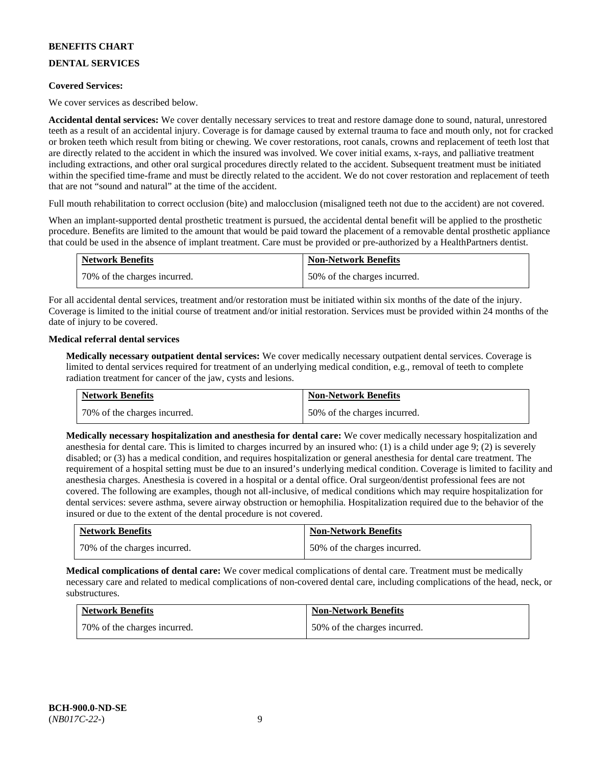# **DENTAL SERVICES**

### **Covered Services:**

We cover services as described below.

**Accidental dental services:** We cover dentally necessary services to treat and restore damage done to sound, natural, unrestored teeth as a result of an accidental injury. Coverage is for damage caused by external trauma to face and mouth only, not for cracked or broken teeth which result from biting or chewing. We cover restorations, root canals, crowns and replacement of teeth lost that are directly related to the accident in which the insured was involved. We cover initial exams, x-rays, and palliative treatment including extractions, and other oral surgical procedures directly related to the accident. Subsequent treatment must be initiated within the specified time-frame and must be directly related to the accident. We do not cover restoration and replacement of teeth that are not "sound and natural" at the time of the accident.

Full mouth rehabilitation to correct occlusion (bite) and malocclusion (misaligned teeth not due to the accident) are not covered.

When an implant-supported dental prosthetic treatment is pursued, the accidental dental benefit will be applied to the prosthetic procedure. Benefits are limited to the amount that would be paid toward the placement of a removable dental prosthetic appliance that could be used in the absence of implant treatment. Care must be provided or pre-authorized by a HealthPartners dentist.

| <b>Network Benefits</b>        | <b>Non-Network Benefits</b>  |
|--------------------------------|------------------------------|
| 1 70% of the charges incurred. | 50% of the charges incurred. |

For all accidental dental services, treatment and/or restoration must be initiated within six months of the date of the injury. Coverage is limited to the initial course of treatment and/or initial restoration. Services must be provided within 24 months of the date of injury to be covered.

### **Medical referral dental services**

**Medically necessary outpatient dental services:** We cover medically necessary outpatient dental services. Coverage is limited to dental services required for treatment of an underlying medical condition, e.g., removal of teeth to complete radiation treatment for cancer of the jaw, cysts and lesions.

| <b>Network Benefits</b>      | <b>Non-Network Benefits</b>  |
|------------------------------|------------------------------|
| 70% of the charges incurred. | 50% of the charges incurred. |

**Medically necessary hospitalization and anesthesia for dental care:** We cover medically necessary hospitalization and anesthesia for dental care. This is limited to charges incurred by an insured who: (1) is a child under age 9; (2) is severely disabled; or (3) has a medical condition, and requires hospitalization or general anesthesia for dental care treatment. The requirement of a hospital setting must be due to an insured's underlying medical condition. Coverage is limited to facility and anesthesia charges. Anesthesia is covered in a hospital or a dental office. Oral surgeon/dentist professional fees are not covered. The following are examples, though not all-inclusive, of medical conditions which may require hospitalization for dental services: severe asthma, severe airway obstruction or hemophilia. Hospitalization required due to the behavior of the insured or due to the extent of the dental procedure is not covered.

| <b>Network Benefits</b>      | <b>Non-Network Benefits</b>  |
|------------------------------|------------------------------|
| 70% of the charges incurred. | 50% of the charges incurred. |

**Medical complications of dental care:** We cover medical complications of dental care. Treatment must be medically necessary care and related to medical complications of non-covered dental care, including complications of the head, neck, or substructures.

| <b>Network Benefits</b>      | <b>Non-Network Benefits</b>  |
|------------------------------|------------------------------|
| 70% of the charges incurred. | 50% of the charges incurred. |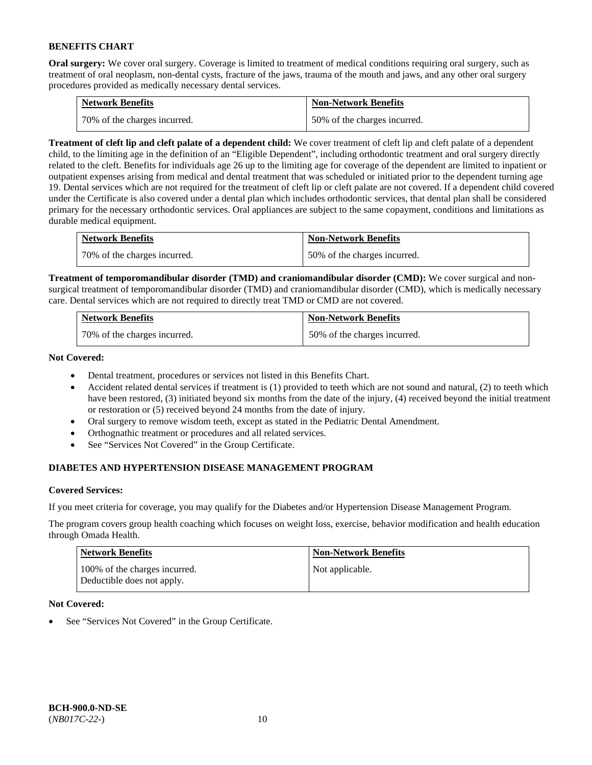**Oral surgery:** We cover oral surgery. Coverage is limited to treatment of medical conditions requiring oral surgery, such as treatment of oral neoplasm, non-dental cysts, fracture of the jaws, trauma of the mouth and jaws, and any other oral surgery procedures provided as medically necessary dental services.

| <b>Network Benefits</b>        | <b>Non-Network Benefits</b>  |
|--------------------------------|------------------------------|
| 1 70% of the charges incurred. | 50% of the charges incurred. |

**Treatment of cleft lip and cleft palate of a dependent child:** We cover treatment of cleft lip and cleft palate of a dependent child, to the limiting age in the definition of an "Eligible Dependent", including orthodontic treatment and oral surgery directly related to the cleft. Benefits for individuals age 26 up to the limiting age for coverage of the dependent are limited to inpatient or outpatient expenses arising from medical and dental treatment that was scheduled or initiated prior to the dependent turning age 19. Dental services which are not required for the treatment of cleft lip or cleft palate are not covered. If a dependent child covered under the Certificate is also covered under a dental plan which includes orthodontic services, that dental plan shall be considered primary for the necessary orthodontic services. Oral appliances are subject to the same copayment, conditions and limitations as durable medical equipment.

| <b>Network Benefits</b>      | <b>Non-Network Benefits</b>  |
|------------------------------|------------------------------|
| 70% of the charges incurred. | 50% of the charges incurred. |

**Treatment of temporomandibular disorder (TMD) and craniomandibular disorder (CMD):** We cover surgical and nonsurgical treatment of temporomandibular disorder (TMD) and craniomandibular disorder (CMD), which is medically necessary care. Dental services which are not required to directly treat TMD or CMD are not covered.

| <b>Network Benefits</b>      | <b>Non-Network Benefits</b>  |
|------------------------------|------------------------------|
| 70% of the charges incurred. | 50% of the charges incurred. |

**Not Covered:** 

- Dental treatment, procedures or services not listed in this Benefits Chart.
- Accident related dental services if treatment is (1) provided to teeth which are not sound and natural, (2) to teeth which have been restored, (3) initiated beyond six months from the date of the injury, (4) received beyond the initial treatment or restoration or (5) received beyond 24 months from the date of injury.
- Oral surgery to remove wisdom teeth, except as stated in the Pediatric Dental Amendment.
- Orthognathic treatment or procedures and all related services.
- See "Services Not Covered" in the Group Certificate.

# **DIABETES AND HYPERTENSION DISEASE MANAGEMENT PROGRAM**

### **Covered Services:**

If you meet criteria for coverage, you may qualify for the Diabetes and/or Hypertension Disease Management Program.

The program covers group health coaching which focuses on weight loss, exercise, behavior modification and health education through Omada Health.

| <b>Network Benefits</b>                                     | <b>Non-Network Benefits</b> |
|-------------------------------------------------------------|-----------------------------|
| 100% of the charges incurred.<br>Deductible does not apply. | Not applicable.             |

### **Not Covered:**

See "Services Not Covered" in the Group Certificate.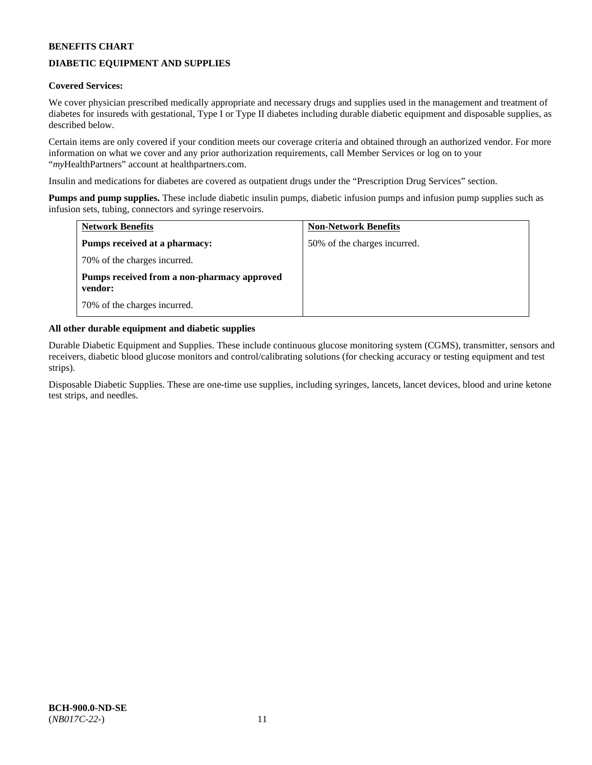# **DIABETIC EQUIPMENT AND SUPPLIES**

### **Covered Services:**

We cover physician prescribed medically appropriate and necessary drugs and supplies used in the management and treatment of diabetes for insureds with gestational, Type I or Type II diabetes including durable diabetic equipment and disposable supplies, as described below.

Certain items are only covered if your condition meets our coverage criteria and obtained through an authorized vendor. For more information on what we cover and any prior authorization requirements, call Member Services or log on to your "*my*HealthPartners" account at [healthpartners.com.](http://www.healthpartners.com/)

Insulin and medications for diabetes are covered as outpatient drugs under the "Prescription Drug Services" section.

**Pumps and pump supplies.** These include diabetic insulin pumps, diabetic infusion pumps and infusion pump supplies such as infusion sets, tubing, connectors and syringe reservoirs.

| <b>Network Benefits</b>                                | <b>Non-Network Benefits</b>  |
|--------------------------------------------------------|------------------------------|
| <b>Pumps received at a pharmacy:</b>                   | 50% of the charges incurred. |
| 70% of the charges incurred.                           |                              |
| Pumps received from a non-pharmacy approved<br>vendor: |                              |
| 70% of the charges incurred.                           |                              |

### **All other durable equipment and diabetic supplies**

Durable Diabetic Equipment and Supplies. These include continuous glucose monitoring system (CGMS), transmitter, sensors and receivers, diabetic blood glucose monitors and control/calibrating solutions (for checking accuracy or testing equipment and test strips).

Disposable Diabetic Supplies. These are one-time use supplies, including syringes, lancets, lancet devices, blood and urine ketone test strips, and needles.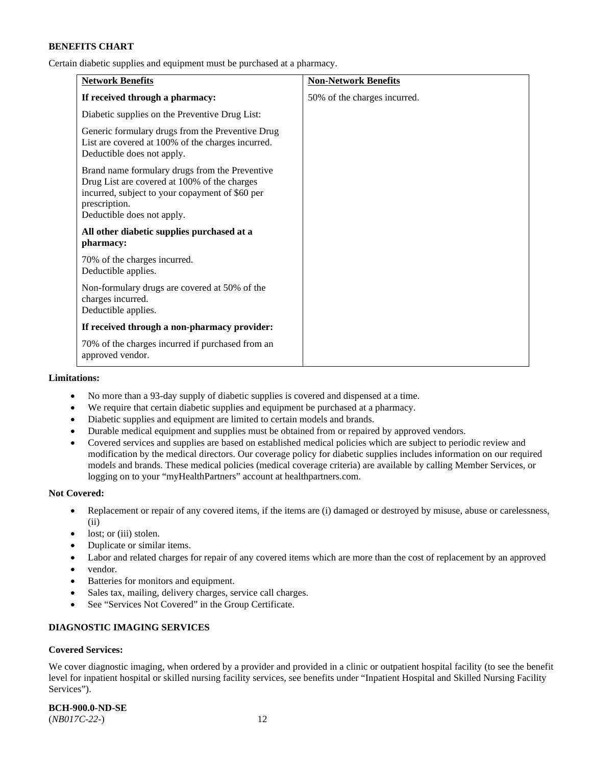Certain diabetic supplies and equipment must be purchased at a pharmacy.

| <b>Network Benefits</b>                                                                                                                                                                          | <b>Non-Network Benefits</b>  |
|--------------------------------------------------------------------------------------------------------------------------------------------------------------------------------------------------|------------------------------|
| If received through a pharmacy:                                                                                                                                                                  | 50% of the charges incurred. |
| Diabetic supplies on the Preventive Drug List:                                                                                                                                                   |                              |
| Generic formulary drugs from the Preventive Drug<br>List are covered at 100% of the charges incurred.<br>Deductible does not apply.                                                              |                              |
| Brand name formulary drugs from the Preventive<br>Drug List are covered at 100% of the charges<br>incurred, subject to your copayment of \$60 per<br>prescription.<br>Deductible does not apply. |                              |
| All other diabetic supplies purchased at a<br>pharmacy:                                                                                                                                          |                              |
| 70% of the charges incurred.<br>Deductible applies.                                                                                                                                              |                              |
| Non-formulary drugs are covered at 50% of the<br>charges incurred.<br>Deductible applies.                                                                                                        |                              |
| If received through a non-pharmacy provider:                                                                                                                                                     |                              |
| 70% of the charges incurred if purchased from an<br>approved vendor.                                                                                                                             |                              |

#### **Limitations:**

- No more than a 93-day supply of diabetic supplies is covered and dispensed at a time.
- We require that certain diabetic supplies and equipment be purchased at a pharmacy.
- Diabetic supplies and equipment are limited to certain models and brands.
- Durable medical equipment and supplies must be obtained from or repaired by approved vendors.
- Covered services and supplies are based on established medical policies which are subject to periodic review and modification by the medical directors. Our coverage policy for diabetic supplies includes information on our required models and brands. These medical policies (medical coverage criteria) are available by calling Member Services, or logging on to your "myHealthPartners" account a[t healthpartners.com.](http://www.healthpartners.com/)

### **Not Covered:**

- Replacement or repair of any covered items, if the items are (i) damaged or destroyed by misuse, abuse or carelessness, (ii)
- lost; or (iii) stolen.
- Duplicate or similar items.
- Labor and related charges for repair of any covered items which are more than the cost of replacement by an approved
- vendor.
- Batteries for monitors and equipment.
- Sales tax, mailing, delivery charges, service call charges.
- See "Services Not Covered" in the Group Certificate.

# **DIAGNOSTIC IMAGING SERVICES**

### **Covered Services:**

We cover diagnostic imaging, when ordered by a provider and provided in a clinic or outpatient hospital facility (to see the benefit level for inpatient hospital or skilled nursing facility services, see benefits under "Inpatient Hospital and Skilled Nursing Facility Services").

**BCH-900.0-ND-SE**

(*NB017C-22-*) 12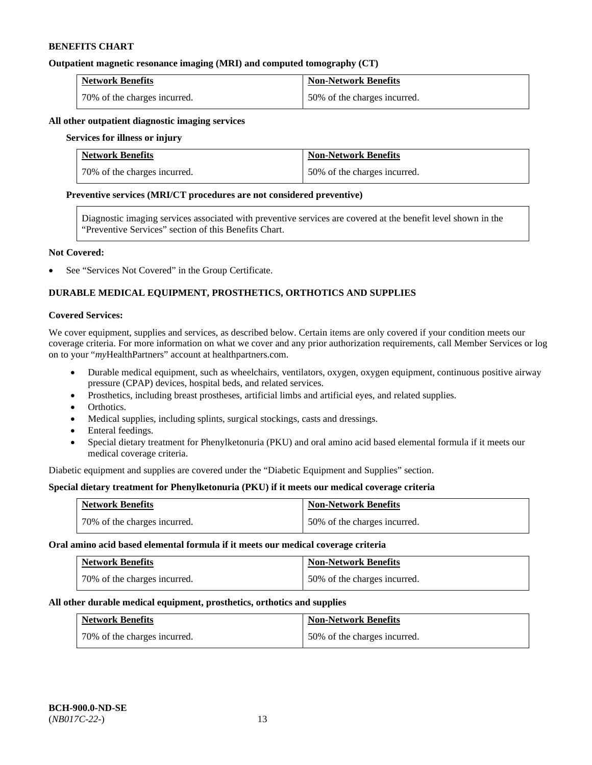### **Outpatient magnetic resonance imaging (MRI) and computed tomography (CT)**

| <b>Network Benefits</b>      | <b>Non-Network Benefits</b>  |
|------------------------------|------------------------------|
| 70% of the charges incurred. | 50% of the charges incurred. |

#### **All other outpatient diagnostic imaging services**

#### **Services for illness or injury**

| <b>Network Benefits</b>      | <b>Non-Network Benefits</b>  |
|------------------------------|------------------------------|
| 70% of the charges incurred. | 50% of the charges incurred. |

### **Preventive services (MRI/CT procedures are not considered preventive)**

Diagnostic imaging services associated with preventive services are covered at the benefit level shown in the "Preventive Services" section of this Benefits Chart.

### **Not Covered:**

See "Services Not Covered" in the Group Certificate.

# **DURABLE MEDICAL EQUIPMENT, PROSTHETICS, ORTHOTICS AND SUPPLIES**

#### **Covered Services:**

We cover equipment, supplies and services, as described below. Certain items are only covered if your condition meets our coverage criteria. For more information on what we cover and any prior authorization requirements, call Member Services or log on to your "*my*HealthPartners" account at [healthpartners.com.](http://www.healthpartners.com/)

- Durable medical equipment, such as wheelchairs, ventilators, oxygen, oxygen equipment, continuous positive airway pressure (CPAP) devices, hospital beds, and related services.
- Prosthetics, including breast prostheses, artificial limbs and artificial eyes, and related supplies.
- Orthotics.
- Medical supplies, including splints, surgical stockings, casts and dressings.
- Enteral feedings.
- Special dietary treatment for Phenylketonuria (PKU) and oral amino acid based elemental formula if it meets our medical coverage criteria.

Diabetic equipment and supplies are covered under the "Diabetic Equipment and Supplies" section.

### **Special dietary treatment for Phenylketonuria (PKU) if it meets our medical coverage criteria**

| <b>Network Benefits</b>      | <b>Non-Network Benefits</b>  |
|------------------------------|------------------------------|
| 70% of the charges incurred. | 50% of the charges incurred. |

#### **Oral amino acid based elemental formula if it meets our medical coverage criteria**

| <b>Network Benefits</b>      | <b>Non-Network Benefits</b>  |
|------------------------------|------------------------------|
| 70% of the charges incurred. | 50% of the charges incurred. |

#### **All other durable medical equipment, prosthetics, orthotics and supplies**

| <b>Network Benefits</b>      | <b>Non-Network Benefits</b>  |
|------------------------------|------------------------------|
| 70% of the charges incurred. | 50% of the charges incurred. |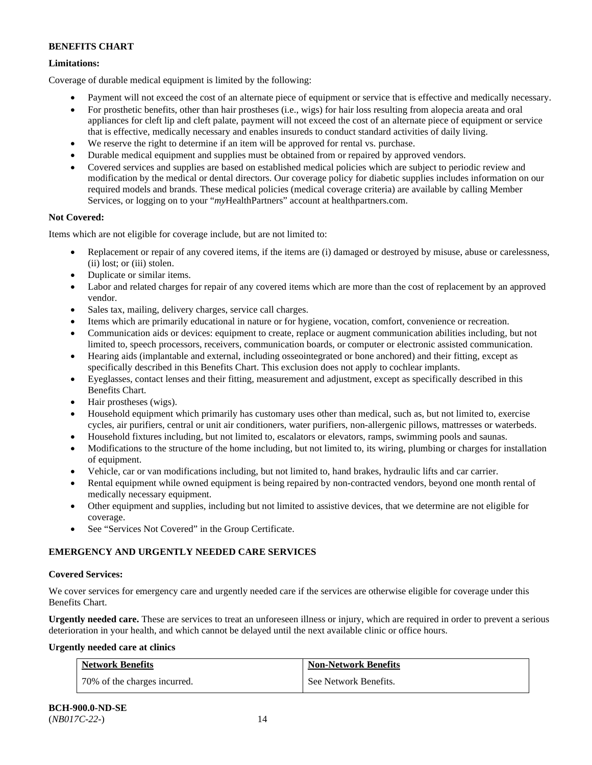# **Limitations:**

Coverage of durable medical equipment is limited by the following:

- Payment will not exceed the cost of an alternate piece of equipment or service that is effective and medically necessary.
- For prosthetic benefits, other than hair prostheses (i.e., wigs) for hair loss resulting from alopecia areata and oral appliances for cleft lip and cleft palate, payment will not exceed the cost of an alternate piece of equipment or service that is effective, medically necessary and enables insureds to conduct standard activities of daily living.
- We reserve the right to determine if an item will be approved for rental vs. purchase.
- Durable medical equipment and supplies must be obtained from or repaired by approved vendors.
- Covered services and supplies are based on established medical policies which are subject to periodic review and modification by the medical or dental directors. Our coverage policy for diabetic supplies includes information on our required models and brands. These medical policies (medical coverage criteria) are available by calling Member Services, or logging on to your "*my*HealthPartners" account at [healthpartners.com.](http://www.healthpartners.com/)

# **Not Covered:**

Items which are not eligible for coverage include, but are not limited to:

- Replacement or repair of any covered items, if the items are (i) damaged or destroyed by misuse, abuse or carelessness, (ii) lost; or (iii) stolen.
- Duplicate or similar items.
- Labor and related charges for repair of any covered items which are more than the cost of replacement by an approved vendor.
- Sales tax, mailing, delivery charges, service call charges.
- Items which are primarily educational in nature or for hygiene, vocation, comfort, convenience or recreation.
- Communication aids or devices: equipment to create, replace or augment communication abilities including, but not limited to, speech processors, receivers, communication boards, or computer or electronic assisted communication.
- Hearing aids (implantable and external, including osseointegrated or bone anchored) and their fitting, except as specifically described in this Benefits Chart. This exclusion does not apply to cochlear implants.
- Eyeglasses, contact lenses and their fitting, measurement and adjustment, except as specifically described in this Benefits Chart.
- Hair prostheses (wigs).
- Household equipment which primarily has customary uses other than medical, such as, but not limited to, exercise cycles, air purifiers, central or unit air conditioners, water purifiers, non-allergenic pillows, mattresses or waterbeds.
- Household fixtures including, but not limited to, escalators or elevators, ramps, swimming pools and saunas.
- Modifications to the structure of the home including, but not limited to, its wiring, plumbing or charges for installation of equipment.
- Vehicle, car or van modifications including, but not limited to, hand brakes, hydraulic lifts and car carrier.
- Rental equipment while owned equipment is being repaired by non-contracted vendors, beyond one month rental of medically necessary equipment.
- Other equipment and supplies, including but not limited to assistive devices, that we determine are not eligible for coverage.
- See "Services Not Covered" in the Group Certificate.

# **EMERGENCY AND URGENTLY NEEDED CARE SERVICES**

### **Covered Services:**

We cover services for emergency care and urgently needed care if the services are otherwise eligible for coverage under this Benefits Chart.

**Urgently needed care.** These are services to treat an unforeseen illness or injury, which are required in order to prevent a serious deterioration in your health, and which cannot be delayed until the next available clinic or office hours.

### **Urgently needed care at clinics**

| <b>Network Benefits</b>      | <b>Non-Network Benefits</b> |
|------------------------------|-----------------------------|
| 70% of the charges incurred. | See Network Benefits.       |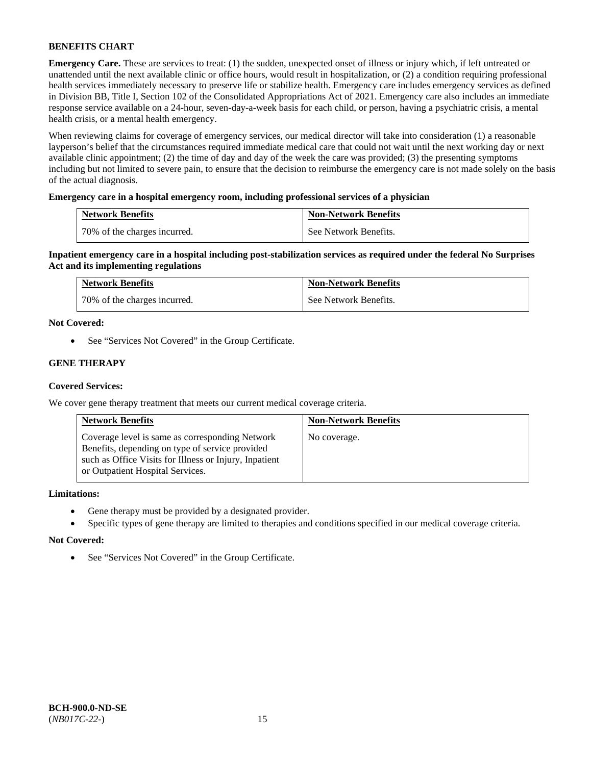**Emergency Care.** These are services to treat: (1) the sudden, unexpected onset of illness or injury which, if left untreated or unattended until the next available clinic or office hours, would result in hospitalization, or (2) a condition requiring professional health services immediately necessary to preserve life or stabilize health. Emergency care includes emergency services as defined in Division BB, Title I, Section 102 of the Consolidated Appropriations Act of 2021. Emergency care also includes an immediate response service available on a 24-hour, seven-day-a-week basis for each child, or person, having a psychiatric crisis, a mental health crisis, or a mental health emergency.

When reviewing claims for coverage of emergency services, our medical director will take into consideration (1) a reasonable layperson's belief that the circumstances required immediate medical care that could not wait until the next working day or next available clinic appointment; (2) the time of day and day of the week the care was provided; (3) the presenting symptoms including but not limited to severe pain, to ensure that the decision to reimburse the emergency care is not made solely on the basis of the actual diagnosis.

### **Emergency care in a hospital emergency room, including professional services of a physician**

| <b>Network Benefits</b>      | <b>Non-Network Benefits</b> |
|------------------------------|-----------------------------|
| 70% of the charges incurred. | See Network Benefits.       |

**Inpatient emergency care in a hospital including post-stabilization services as required under the federal No Surprises Act and its implementing regulations**

| <b>Network Benefits</b>        | <b>Non-Network Benefits</b> |
|--------------------------------|-----------------------------|
| 1 70% of the charges incurred. | See Network Benefits.       |

### **Not Covered:**

• See "Services Not Covered" in the Group Certificate.

### **GENE THERAPY**

### **Covered Services:**

We cover gene therapy treatment that meets our current medical coverage criteria.

| <b>Network Benefits</b>                                                                                                                                                                          | <b>Non-Network Benefits</b> |
|--------------------------------------------------------------------------------------------------------------------------------------------------------------------------------------------------|-----------------------------|
| Coverage level is same as corresponding Network<br>Benefits, depending on type of service provided<br>such as Office Visits for Illness or Injury, Inpatient<br>or Outpatient Hospital Services. | No coverage.                |

### **Limitations:**

- Gene therapy must be provided by a designated provider.
- Specific types of gene therapy are limited to therapies and conditions specified in our medical coverage criteria.

#### **Not Covered:**

• See "Services Not Covered" in the Group Certificate.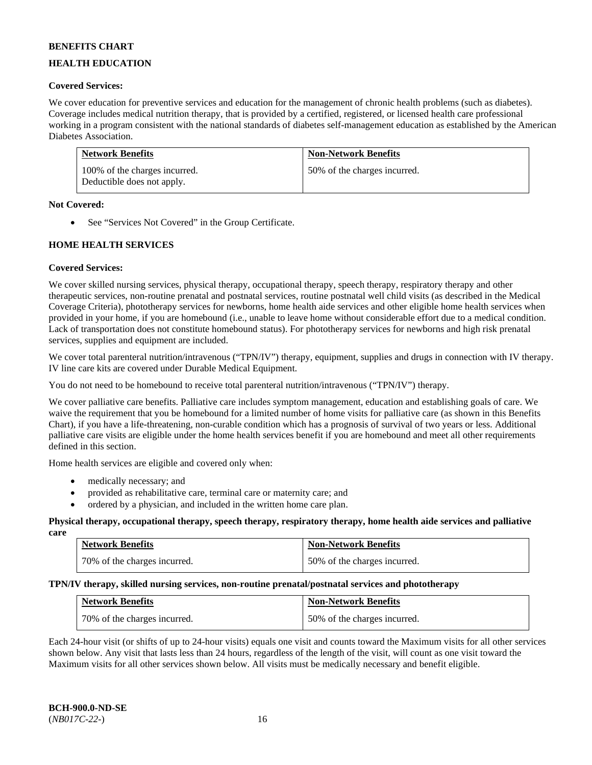## **HEALTH EDUCATION**

### **Covered Services:**

We cover education for preventive services and education for the management of chronic health problems (such as diabetes). Coverage includes medical nutrition therapy, that is provided by a certified, registered, or licensed health care professional working in a program consistent with the national standards of diabetes self-management education as established by the American Diabetes Association.

| <b>Network Benefits</b>                                     | <b>Non-Network Benefits</b>  |
|-------------------------------------------------------------|------------------------------|
| 100% of the charges incurred.<br>Deductible does not apply. | 50% of the charges incurred. |

### **Not Covered:**

• See "Services Not Covered" in the Group Certificate.

### **HOME HEALTH SERVICES**

### **Covered Services:**

We cover skilled nursing services, physical therapy, occupational therapy, speech therapy, respiratory therapy and other therapeutic services, non-routine prenatal and postnatal services, routine postnatal well child visits (as described in the Medical Coverage Criteria), phototherapy services for newborns, home health aide services and other eligible home health services when provided in your home, if you are homebound (i.e., unable to leave home without considerable effort due to a medical condition. Lack of transportation does not constitute homebound status). For phototherapy services for newborns and high risk prenatal services, supplies and equipment are included.

We cover total parenteral nutrition/intravenous ("TPN/IV") therapy, equipment, supplies and drugs in connection with IV therapy. IV line care kits are covered under Durable Medical Equipment.

You do not need to be homebound to receive total parenteral nutrition/intravenous ("TPN/IV") therapy.

We cover palliative care benefits. Palliative care includes symptom management, education and establishing goals of care. We waive the requirement that you be homebound for a limited number of home visits for palliative care (as shown in this Benefits Chart), if you have a life-threatening, non-curable condition which has a prognosis of survival of two years or less. Additional palliative care visits are eligible under the home health services benefit if you are homebound and meet all other requirements defined in this section.

Home health services are eligible and covered only when:

- medically necessary; and
- provided as rehabilitative care, terminal care or maternity care; and
- ordered by a physician, and included in the written home care plan.

#### **Physical therapy, occupational therapy, speech therapy, respiratory therapy, home health aide services and palliative care**

| <b>Network Benefits</b>      | <b>Non-Network Benefits</b>  |
|------------------------------|------------------------------|
| 70% of the charges incurred. | 50% of the charges incurred. |

### **TPN/IV therapy, skilled nursing services, non-routine prenatal/postnatal services and phototherapy**

| <b>Network Benefits</b>      | <b>Non-Network Benefits</b>  |
|------------------------------|------------------------------|
| 70% of the charges incurred. | 50% of the charges incurred. |

Each 24-hour visit (or shifts of up to 24-hour visits) equals one visit and counts toward the Maximum visits for all other services shown below. Any visit that lasts less than 24 hours, regardless of the length of the visit, will count as one visit toward the Maximum visits for all other services shown below. All visits must be medically necessary and benefit eligible.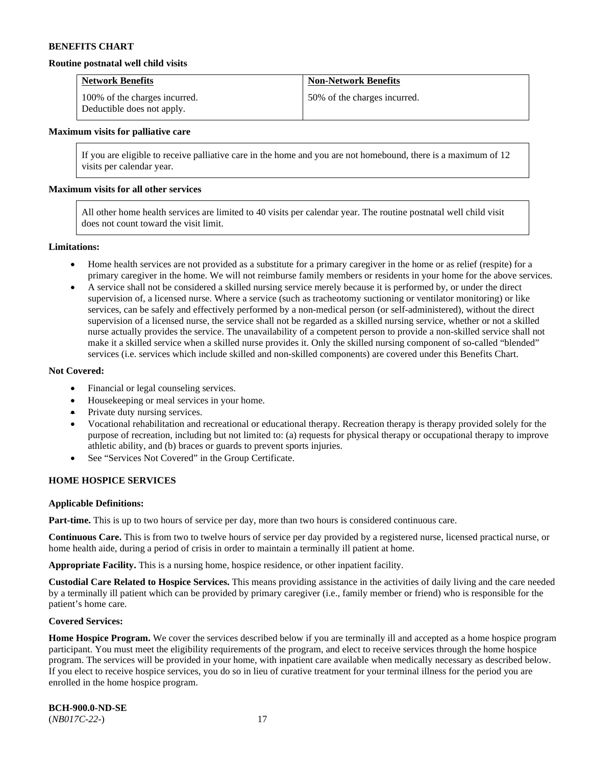#### **Routine postnatal well child visits**

| <b>Network Benefits</b>                                     | <b>Non-Network Benefits</b>  |
|-------------------------------------------------------------|------------------------------|
| 100% of the charges incurred.<br>Deductible does not apply. | 50% of the charges incurred. |

#### **Maximum visits for palliative care**

If you are eligible to receive palliative care in the home and you are not homebound, there is a maximum of 12 visits per calendar year.

#### **Maximum visits for all other services**

All other home health services are limited to 40 visits per calendar year. The routine postnatal well child visit does not count toward the visit limit.

#### **Limitations:**

- Home health services are not provided as a substitute for a primary caregiver in the home or as relief (respite) for a primary caregiver in the home. We will not reimburse family members or residents in your home for the above services.
- A service shall not be considered a skilled nursing service merely because it is performed by, or under the direct supervision of, a licensed nurse. Where a service (such as tracheotomy suctioning or ventilator monitoring) or like services, can be safely and effectively performed by a non-medical person (or self-administered), without the direct supervision of a licensed nurse, the service shall not be regarded as a skilled nursing service, whether or not a skilled nurse actually provides the service. The unavailability of a competent person to provide a non-skilled service shall not make it a skilled service when a skilled nurse provides it. Only the skilled nursing component of so-called "blended" services (i.e. services which include skilled and non-skilled components) are covered under this Benefits Chart.

#### **Not Covered:**

- Financial or legal counseling services.
- Housekeeping or meal services in your home.
- Private duty nursing services.
- Vocational rehabilitation and recreational or educational therapy. Recreation therapy is therapy provided solely for the purpose of recreation, including but not limited to: (a) requests for physical therapy or occupational therapy to improve athletic ability, and (b) braces or guards to prevent sports injuries.
- See "Services Not Covered" in the Group Certificate.

### **HOME HOSPICE SERVICES**

#### **Applicable Definitions:**

**Part-time.** This is up to two hours of service per day, more than two hours is considered continuous care.

**Continuous Care.** This is from two to twelve hours of service per day provided by a registered nurse, licensed practical nurse, or home health aide, during a period of crisis in order to maintain a terminally ill patient at home.

**Appropriate Facility.** This is a nursing home, hospice residence, or other inpatient facility.

**Custodial Care Related to Hospice Services.** This means providing assistance in the activities of daily living and the care needed by a terminally ill patient which can be provided by primary caregiver (i.e., family member or friend) who is responsible for the patient's home care.

#### **Covered Services:**

Home Hospice Program. We cover the services described below if you are terminally ill and accepted as a home hospice program participant. You must meet the eligibility requirements of the program, and elect to receive services through the home hospice program. The services will be provided in your home, with inpatient care available when medically necessary as described below. If you elect to receive hospice services, you do so in lieu of curative treatment for your terminal illness for the period you are enrolled in the home hospice program.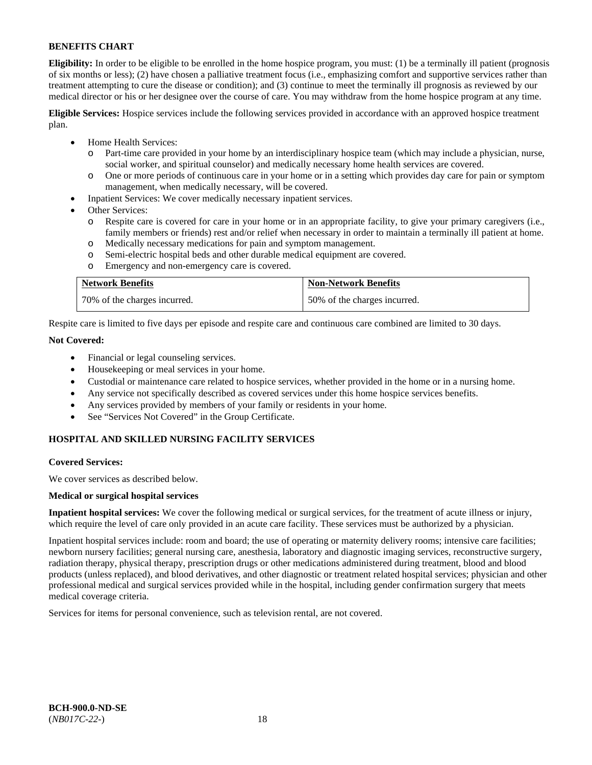**Eligibility:** In order to be eligible to be enrolled in the home hospice program, you must: (1) be a terminally ill patient (prognosis of six months or less); (2) have chosen a palliative treatment focus (i.e., emphasizing comfort and supportive services rather than treatment attempting to cure the disease or condition); and (3) continue to meet the terminally ill prognosis as reviewed by our medical director or his or her designee over the course of care. You may withdraw from the home hospice program at any time.

**Eligible Services:** Hospice services include the following services provided in accordance with an approved hospice treatment plan.

- Home Health Services:
	- o Part-time care provided in your home by an interdisciplinary hospice team (which may include a physician, nurse, social worker, and spiritual counselor) and medically necessary home health services are covered.
	- o One or more periods of continuous care in your home or in a setting which provides day care for pain or symptom management, when medically necessary, will be covered.
- Inpatient Services: We cover medically necessary inpatient services.
- Other Services:
	- Respite care is covered for care in your home or in an appropriate facility, to give your primary caregivers (i.e., family members or friends) rest and/or relief when necessary in order to maintain a terminally ill patient at home.
	- o Medically necessary medications for pain and symptom management.
	- Semi-electric hospital beds and other durable medical equipment are covered.
	- o Emergency and non-emergency care is covered.

| <b>Network Benefits</b>      | <b>Non-Network Benefits</b>  |
|------------------------------|------------------------------|
| 70% of the charges incurred. | 50% of the charges incurred. |

Respite care is limited to five days per episode and respite care and continuous care combined are limited to 30 days.

### **Not Covered:**

- Financial or legal counseling services.
- Housekeeping or meal services in your home.
- Custodial or maintenance care related to hospice services, whether provided in the home or in a nursing home.
- Any service not specifically described as covered services under this home hospice services benefits.
- Any services provided by members of your family or residents in your home.
- See "Services Not Covered" in the Group Certificate.

### **HOSPITAL AND SKILLED NURSING FACILITY SERVICES**

#### **Covered Services:**

We cover services as described below.

#### **Medical or surgical hospital services**

**Inpatient hospital services:** We cover the following medical or surgical services, for the treatment of acute illness or injury, which require the level of care only provided in an acute care facility. These services must be authorized by a physician.

Inpatient hospital services include: room and board; the use of operating or maternity delivery rooms; intensive care facilities; newborn nursery facilities; general nursing care, anesthesia, laboratory and diagnostic imaging services, reconstructive surgery, radiation therapy, physical therapy, prescription drugs or other medications administered during treatment, blood and blood products (unless replaced), and blood derivatives, and other diagnostic or treatment related hospital services; physician and other professional medical and surgical services provided while in the hospital, including gender confirmation surgery that meets medical coverage criteria.

Services for items for personal convenience, such as television rental, are not covered.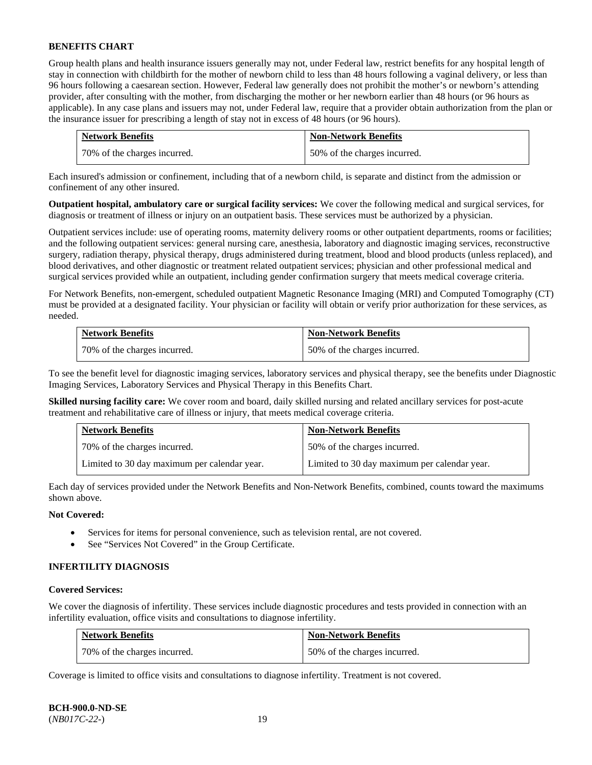Group health plans and health insurance issuers generally may not, under Federal law, restrict benefits for any hospital length of stay in connection with childbirth for the mother of newborn child to less than 48 hours following a vaginal delivery, or less than 96 hours following a caesarean section. However, Federal law generally does not prohibit the mother's or newborn's attending provider, after consulting with the mother, from discharging the mother or her newborn earlier than 48 hours (or 96 hours as applicable). In any case plans and issuers may not, under Federal law, require that a provider obtain authorization from the plan or the insurance issuer for prescribing a length of stay not in excess of 48 hours (or 96 hours).

| <b>Network Benefits</b>      | <b>Non-Network Benefits</b>  |
|------------------------------|------------------------------|
| 70% of the charges incurred. | 50% of the charges incurred. |

Each insured's admission or confinement, including that of a newborn child, is separate and distinct from the admission or confinement of any other insured.

**Outpatient hospital, ambulatory care or surgical facility services:** We cover the following medical and surgical services, for diagnosis or treatment of illness or injury on an outpatient basis. These services must be authorized by a physician.

Outpatient services include: use of operating rooms, maternity delivery rooms or other outpatient departments, rooms or facilities; and the following outpatient services: general nursing care, anesthesia, laboratory and diagnostic imaging services, reconstructive surgery, radiation therapy, physical therapy, drugs administered during treatment, blood and blood products (unless replaced), and blood derivatives, and other diagnostic or treatment related outpatient services; physician and other professional medical and surgical services provided while an outpatient, including gender confirmation surgery that meets medical coverage criteria.

For Network Benefits, non-emergent, scheduled outpatient Magnetic Resonance Imaging (MRI) and Computed Tomography (CT) must be provided at a designated facility. Your physician or facility will obtain or verify prior authorization for these services, as needed.

| <b>Network Benefits</b>      | <b>Non-Network Benefits</b>  |
|------------------------------|------------------------------|
| 70% of the charges incurred. | 50% of the charges incurred. |

To see the benefit level for diagnostic imaging services, laboratory services and physical therapy, see the benefits under Diagnostic Imaging Services, Laboratory Services and Physical Therapy in this Benefits Chart.

**Skilled nursing facility care:** We cover room and board, daily skilled nursing and related ancillary services for post-acute treatment and rehabilitative care of illness or injury, that meets medical coverage criteria.

| <b>Network Benefits</b>                      | <b>Non-Network Benefits</b>                  |
|----------------------------------------------|----------------------------------------------|
| 70% of the charges incurred.                 | 50% of the charges incurred.                 |
| Limited to 30 day maximum per calendar year. | Limited to 30 day maximum per calendar year. |

Each day of services provided under the Network Benefits and Non-Network Benefits, combined, counts toward the maximums shown above.

### **Not Covered:**

- Services for items for personal convenience, such as television rental, are not covered.
- See "Services Not Covered" in the Group Certificate.

#### **INFERTILITY DIAGNOSIS**

### **Covered Services:**

We cover the diagnosis of infertility. These services include diagnostic procedures and tests provided in connection with an infertility evaluation, office visits and consultations to diagnose infertility.

| <b>Network Benefits</b>      | <b>Non-Network Benefits</b>  |
|------------------------------|------------------------------|
| 70% of the charges incurred. | 50% of the charges incurred. |

Coverage is limited to office visits and consultations to diagnose infertility. Treatment is not covered.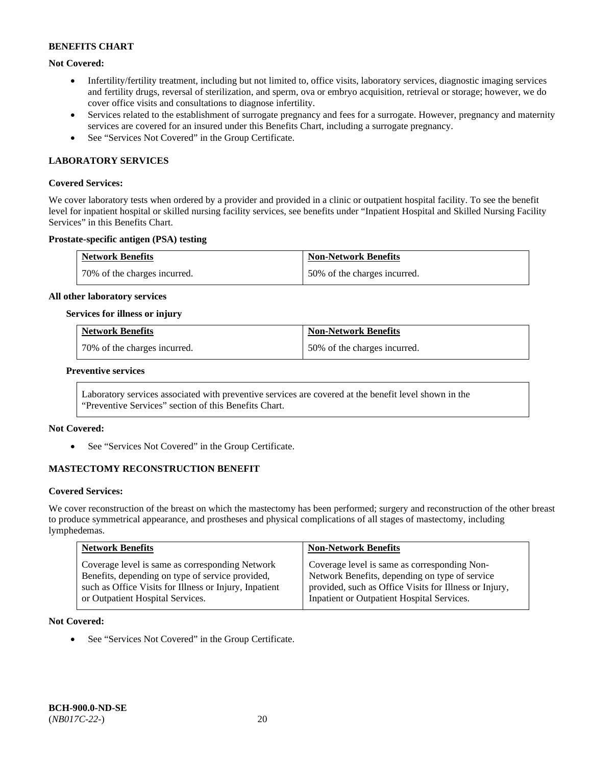### **Not Covered:**

- Infertility/fertility treatment, including but not limited to, office visits, laboratory services, diagnostic imaging services and fertility drugs, reversal of sterilization, and sperm, ova or embryo acquisition, retrieval or storage; however, we do cover office visits and consultations to diagnose infertility.
- Services related to the establishment of surrogate pregnancy and fees for a surrogate. However, pregnancy and maternity services are covered for an insured under this Benefits Chart, including a surrogate pregnancy.
- See "Services Not Covered" in the Group Certificate.

### **LABORATORY SERVICES**

#### **Covered Services:**

We cover laboratory tests when ordered by a provider and provided in a clinic or outpatient hospital facility. To see the benefit level for inpatient hospital or skilled nursing facility services, see benefits under "Inpatient Hospital and Skilled Nursing Facility Services" in this Benefits Chart.

### **Prostate-specific antigen (PSA) testing**

| <b>Network Benefits</b>      | <b>Non-Network Benefits</b>  |
|------------------------------|------------------------------|
| 70% of the charges incurred. | 50% of the charges incurred. |

#### **All other laboratory services**

### **Services for illness or injury**

| <b>Network Benefits</b>       | <b>Non-Network Benefits</b>  |
|-------------------------------|------------------------------|
| 170% of the charges incurred. | 50% of the charges incurred. |

#### **Preventive services**

Laboratory services associated with preventive services are covered at the benefit level shown in the "Preventive Services" section of this Benefits Chart.

### **Not Covered:**

See "Services Not Covered" in the Group Certificate.

### **MASTECTOMY RECONSTRUCTION BENEFIT**

#### **Covered Services:**

We cover reconstruction of the breast on which the mastectomy has been performed; surgery and reconstruction of the other breast to produce symmetrical appearance, and prostheses and physical complications of all stages of mastectomy, including lymphedemas.

| <b>Network Benefits</b>                                | <b>Non-Network Benefits</b>                            |
|--------------------------------------------------------|--------------------------------------------------------|
| Coverage level is same as corresponding Network        | Coverage level is same as corresponding Non-           |
| Benefits, depending on type of service provided,       | Network Benefits, depending on type of service         |
| such as Office Visits for Illness or Injury, Inpatient | provided, such as Office Visits for Illness or Injury, |
| or Outpatient Hospital Services.                       | Inpatient or Outpatient Hospital Services.             |

#### **Not Covered:**

• See "Services Not Covered" in the Group Certificate.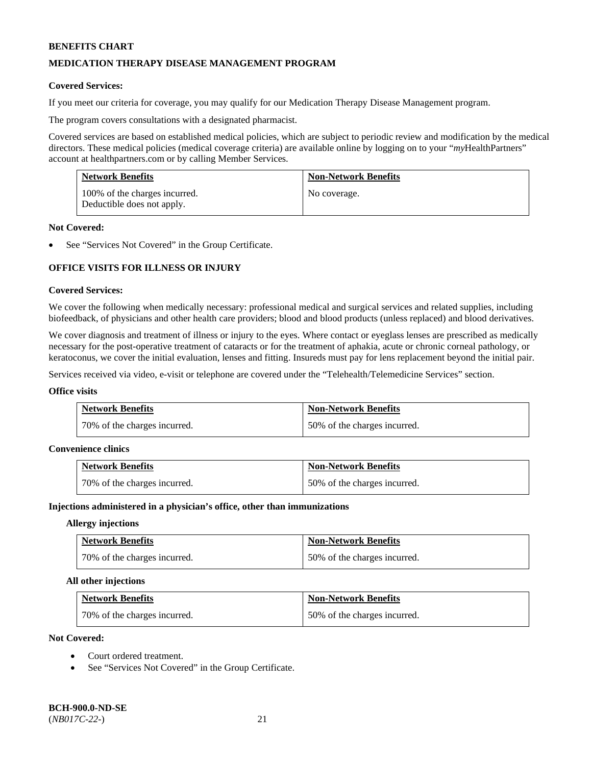### **MEDICATION THERAPY DISEASE MANAGEMENT PROGRAM**

### **Covered Services:**

If you meet our criteria for coverage, you may qualify for our Medication Therapy Disease Management program.

The program covers consultations with a designated pharmacist.

Covered services are based on established medical policies, which are subject to periodic review and modification by the medical directors. These medical policies (medical coverage criteria) are available online by logging on to your "*my*HealthPartners" account a[t healthpartners.com](http://www.healthpartners.com/) or by calling Member Services.

| <b>Network Benefits</b>                                     | <b>Non-Network Benefits</b> |
|-------------------------------------------------------------|-----------------------------|
| 100% of the charges incurred.<br>Deductible does not apply. | No coverage.                |

#### **Not Covered:**

See "Services Not Covered" in the Group Certificate.

# **OFFICE VISITS FOR ILLNESS OR INJURY**

### **Covered Services:**

We cover the following when medically necessary: professional medical and surgical services and related supplies, including biofeedback, of physicians and other health care providers; blood and blood products (unless replaced) and blood derivatives.

We cover diagnosis and treatment of illness or injury to the eyes. Where contact or eyeglass lenses are prescribed as medically necessary for the post-operative treatment of cataracts or for the treatment of aphakia, acute or chronic corneal pathology, or keratoconus, we cover the initial evaluation, lenses and fitting. Insureds must pay for lens replacement beyond the initial pair.

Services received via video, e-visit or telephone are covered under the "Telehealth/Telemedicine Services" section.

#### **Office visits**

| <b>Network Benefits</b>      | <b>Non-Network Benefits</b>  |
|------------------------------|------------------------------|
| 70% of the charges incurred. | 50% of the charges incurred. |

#### **Convenience clinics**

| <b>Network Benefits</b>      | <b>Non-Network Benefits</b>  |
|------------------------------|------------------------------|
| 70% of the charges incurred. | 50% of the charges incurred. |

#### **Injections administered in a physician's office, other than immunizations**

#### **Allergy injections**

| <b>Network Benefits</b>      | <b>Non-Network Benefits</b>  |
|------------------------------|------------------------------|
| 70% of the charges incurred. | 50% of the charges incurred. |

#### **All other injections**

| <b>Network Benefits</b>      | <b>Non-Network Benefits</b>  |
|------------------------------|------------------------------|
| 70% of the charges incurred. | 50% of the charges incurred. |

### **Not Covered:**

- Court ordered treatment.
- See "Services Not Covered" in the Group Certificate.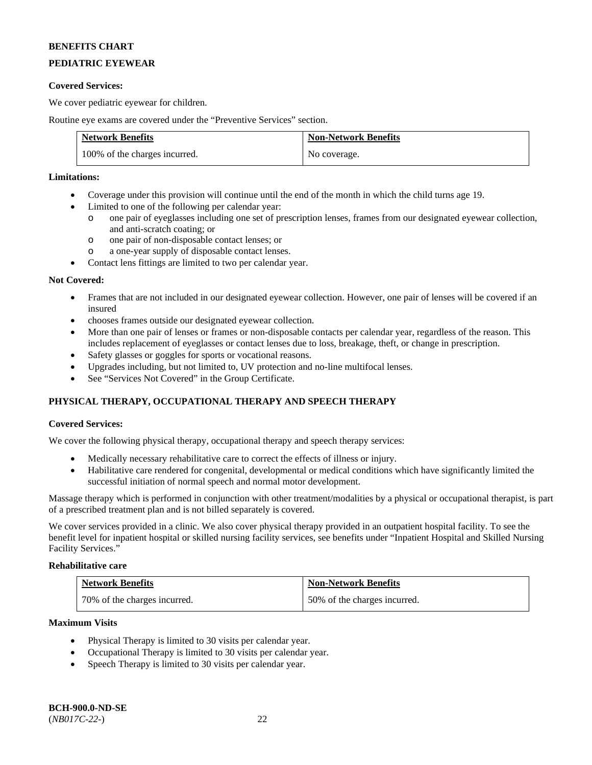# **PEDIATRIC EYEWEAR**

### **Covered Services:**

We cover pediatric eyewear for children.

Routine eye exams are covered under the "Preventive Services" section.

| <b>Network Benefits</b>       | <b>Non-Network Benefits</b> |
|-------------------------------|-----------------------------|
| 100% of the charges incurred. | No coverage.                |

### **Limitations:**

- Coverage under this provision will continue until the end of the month in which the child turns age 19.
- Limited to one of the following per calendar year:
	- o one pair of eyeglasses including one set of prescription lenses, frames from our designated eyewear collection, and anti-scratch coating; or
	- o one pair of non-disposable contact lenses; or
	- o a one-year supply of disposable contact lenses.
- Contact lens fittings are limited to two per calendar year.

### **Not Covered:**

- Frames that are not included in our designated eyewear collection. However, one pair of lenses will be covered if an insured
- chooses frames outside our designated eyewear collection.
- More than one pair of lenses or frames or non-disposable contacts per calendar year, regardless of the reason. This includes replacement of eyeglasses or contact lenses due to loss, breakage, theft, or change in prescription.
- Safety glasses or goggles for sports or vocational reasons.
- Upgrades including, but not limited to, UV protection and no-line multifocal lenses.
- See "Services Not Covered" in the Group Certificate.

# **PHYSICAL THERAPY, OCCUPATIONAL THERAPY AND SPEECH THERAPY**

### **Covered Services:**

We cover the following physical therapy, occupational therapy and speech therapy services:

- Medically necessary rehabilitative care to correct the effects of illness or injury.
- Habilitative care rendered for congenital, developmental or medical conditions which have significantly limited the successful initiation of normal speech and normal motor development.

Massage therapy which is performed in conjunction with other treatment/modalities by a physical or occupational therapist, is part of a prescribed treatment plan and is not billed separately is covered.

We cover services provided in a clinic. We also cover physical therapy provided in an outpatient hospital facility. To see the benefit level for inpatient hospital or skilled nursing facility services, see benefits under "Inpatient Hospital and Skilled Nursing Facility Services."

### **Rehabilitative care**

| <b>Network Benefits</b>      | <b>Non-Network Benefits</b>  |
|------------------------------|------------------------------|
| 70% of the charges incurred. | 50% of the charges incurred. |

#### **Maximum Visits**

- Physical Therapy is limited to 30 visits per calendar year.
- Occupational Therapy is limited to 30 visits per calendar year.
- Speech Therapy is limited to 30 visits per calendar year.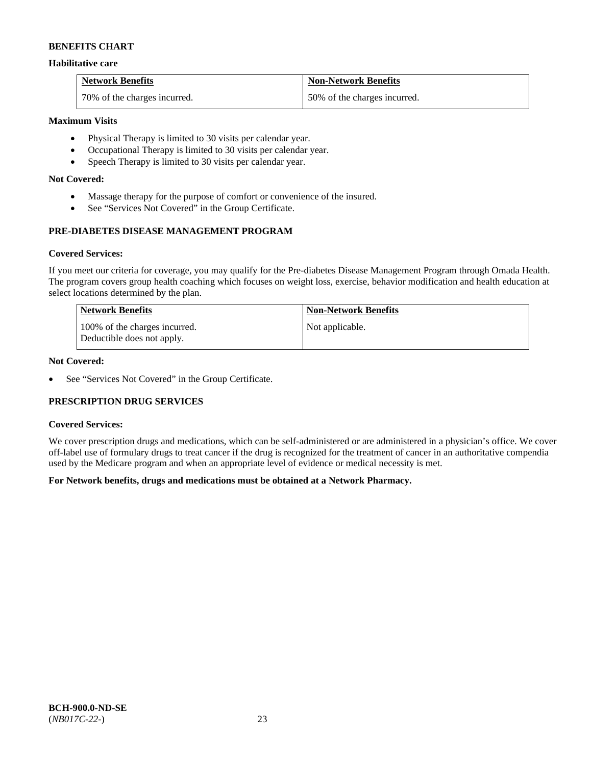### **Habilitative care**

| <b>Network Benefits</b>      | <b>Non-Network Benefits</b>  |
|------------------------------|------------------------------|
| 70% of the charges incurred. | 50% of the charges incurred. |

### **Maximum Visits**

- Physical Therapy is limited to 30 visits per calendar year.
- Occupational Therapy is limited to 30 visits per calendar year.
- Speech Therapy is limited to 30 visits per calendar year.

### **Not Covered:**

- Massage therapy for the purpose of comfort or convenience of the insured.
- See "Services Not Covered" in the Group Certificate.

# **PRE-DIABETES DISEASE MANAGEMENT PROGRAM**

### **Covered Services:**

If you meet our criteria for coverage, you may qualify for the Pre-diabetes Disease Management Program through Omada Health. The program covers group health coaching which focuses on weight loss, exercise, behavior modification and health education at select locations determined by the plan.

| Network Benefits                                            | <b>Non-Network Benefits</b> |
|-------------------------------------------------------------|-----------------------------|
| 100% of the charges incurred.<br>Deductible does not apply. | Not applicable.             |

### **Not Covered:**

• See "Services Not Covered" in the Group Certificate.

### **PRESCRIPTION DRUG SERVICES**

#### **Covered Services:**

We cover prescription drugs and medications, which can be self-administered or are administered in a physician's office. We cover off-label use of formulary drugs to treat cancer if the drug is recognized for the treatment of cancer in an authoritative compendia used by the Medicare program and when an appropriate level of evidence or medical necessity is met.

### **For Network benefits, drugs and medications must be obtained at a Network Pharmacy.**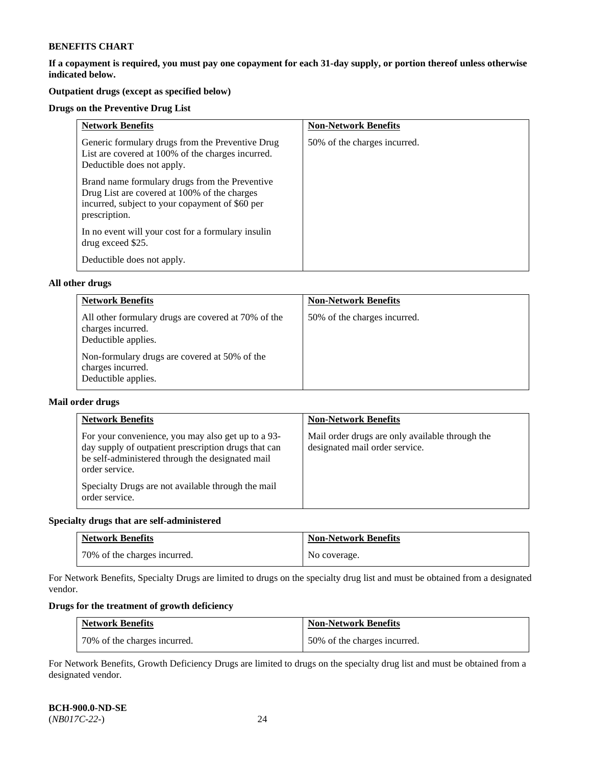**If a copayment is required, you must pay one copayment for each 31-day supply, or portion thereof unless otherwise indicated below.** 

# **Outpatient drugs (except as specified below)**

### **Drugs on the Preventive Drug List**

| <b>Network Benefits</b>                                                                                                                                            | <b>Non-Network Benefits</b>  |
|--------------------------------------------------------------------------------------------------------------------------------------------------------------------|------------------------------|
| Generic formulary drugs from the Preventive Drug<br>List are covered at 100% of the charges incurred.<br>Deductible does not apply.                                | 50% of the charges incurred. |
| Brand name formulary drugs from the Preventive<br>Drug List are covered at 100% of the charges<br>incurred, subject to your copayment of \$60 per<br>prescription. |                              |
| In no event will your cost for a formulary insulin<br>drug exceed \$25.                                                                                            |                              |
| Deductible does not apply.                                                                                                                                         |                              |

### **All other drugs**

| <b>Network Benefits</b>                                                                         | <b>Non-Network Benefits</b>  |
|-------------------------------------------------------------------------------------------------|------------------------------|
| All other formulary drugs are covered at 70% of the<br>charges incurred.<br>Deductible applies. | 50% of the charges incurred. |
| Non-formulary drugs are covered at 50% of the<br>charges incurred.<br>Deductible applies.       |                              |

### **Mail order drugs**

| <b>Network Benefits</b>                                                                                                                                                                                                                                  | <b>Non-Network Benefits</b>                                                       |
|----------------------------------------------------------------------------------------------------------------------------------------------------------------------------------------------------------------------------------------------------------|-----------------------------------------------------------------------------------|
| For your convenience, you may also get up to a 93-<br>day supply of outpatient prescription drugs that can<br>be self-administered through the designated mail<br>order service.<br>Specialty Drugs are not available through the mail<br>order service. | Mail order drugs are only available through the<br>designated mail order service. |

### **Specialty drugs that are self-administered**

| <b>Network Benefits</b>      | <b>Non-Network Benefits</b> |
|------------------------------|-----------------------------|
| 70% of the charges incurred. | No coverage.                |

For Network Benefits, Specialty Drugs are limited to drugs on the specialty drug list and must be obtained from a designated vendor.

# **Drugs for the treatment of growth deficiency**

| <b>Network Benefits</b>      | <b>Non-Network Benefits</b>  |
|------------------------------|------------------------------|
| 70% of the charges incurred. | 50% of the charges incurred. |

For Network Benefits, Growth Deficiency Drugs are limited to drugs on the specialty drug list and must be obtained from a designated vendor.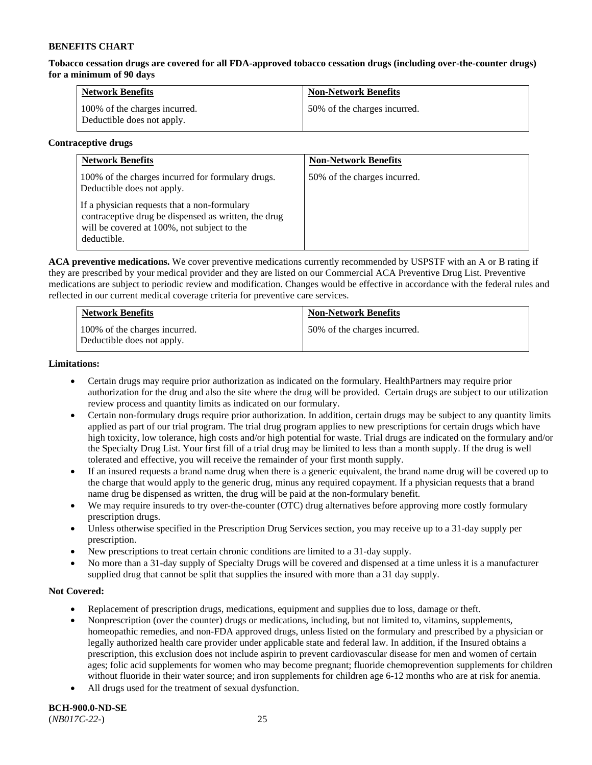**Tobacco cessation drugs are covered for all FDA-approved tobacco cessation drugs (including over-the-counter drugs) for a minimum of 90 days**

| <b>Network Benefits</b>                                     | <b>Non-Network Benefits</b>  |
|-------------------------------------------------------------|------------------------------|
| 100% of the charges incurred.<br>Deductible does not apply. | 50% of the charges incurred. |

### **Contraceptive drugs**

| <b>Network Benefits</b>                                                                                                                                            | <b>Non-Network Benefits</b>  |
|--------------------------------------------------------------------------------------------------------------------------------------------------------------------|------------------------------|
| 100% of the charges incurred for formulary drugs.<br>Deductible does not apply.                                                                                    | 50% of the charges incurred. |
| If a physician requests that a non-formulary<br>contraceptive drug be dispensed as written, the drug<br>will be covered at 100%, not subject to the<br>deductible. |                              |

**ACA preventive medications.** We cover preventive medications currently recommended by USPSTF with an A or B rating if they are prescribed by your medical provider and they are listed on our Commercial ACA Preventive Drug List. Preventive medications are subject to periodic review and modification. Changes would be effective in accordance with the federal rules and reflected in our current medical coverage criteria for preventive care services.

| <b>Network Benefits</b>                                     | <b>Non-Network Benefits</b>  |
|-------------------------------------------------------------|------------------------------|
| 100% of the charges incurred.<br>Deductible does not apply. | 50% of the charges incurred. |

### **Limitations:**

- Certain drugs may require prior authorization as indicated on the formulary. HealthPartners may require prior authorization for the drug and also the site where the drug will be provided. Certain drugs are subject to our utilization review process and quantity limits as indicated on our formulary.
- Certain non-formulary drugs require prior authorization. In addition, certain drugs may be subject to any quantity limits applied as part of our trial program. The trial drug program applies to new prescriptions for certain drugs which have high toxicity, low tolerance, high costs and/or high potential for waste. Trial drugs are indicated on the formulary and/or the Specialty Drug List. Your first fill of a trial drug may be limited to less than a month supply. If the drug is well tolerated and effective, you will receive the remainder of your first month supply.
- If an insured requests a brand name drug when there is a generic equivalent, the brand name drug will be covered up to the charge that would apply to the generic drug, minus any required copayment. If a physician requests that a brand name drug be dispensed as written, the drug will be paid at the non-formulary benefit.
- We may require insureds to try over-the-counter (OTC) drug alternatives before approving more costly formulary prescription drugs.
- Unless otherwise specified in the Prescription Drug Services section, you may receive up to a 31-day supply per prescription.
- New prescriptions to treat certain chronic conditions are limited to a 31-day supply.
- No more than a 31-day supply of Specialty Drugs will be covered and dispensed at a time unless it is a manufacturer supplied drug that cannot be split that supplies the insured with more than a 31 day supply.

### **Not Covered:**

- Replacement of prescription drugs, medications, equipment and supplies due to loss, damage or theft.
- Nonprescription (over the counter) drugs or medications, including, but not limited to, vitamins, supplements, homeopathic remedies, and non-FDA approved drugs, unless listed on the formulary and prescribed by a physician or legally authorized health care provider under applicable state and federal law. In addition, if the Insured obtains a prescription, this exclusion does not include aspirin to prevent cardiovascular disease for men and women of certain ages; folic acid supplements for women who may become pregnant; fluoride chemoprevention supplements for children without fluoride in their water source; and iron supplements for children age 6-12 months who are at risk for anemia.
- All drugs used for the treatment of sexual dysfunction.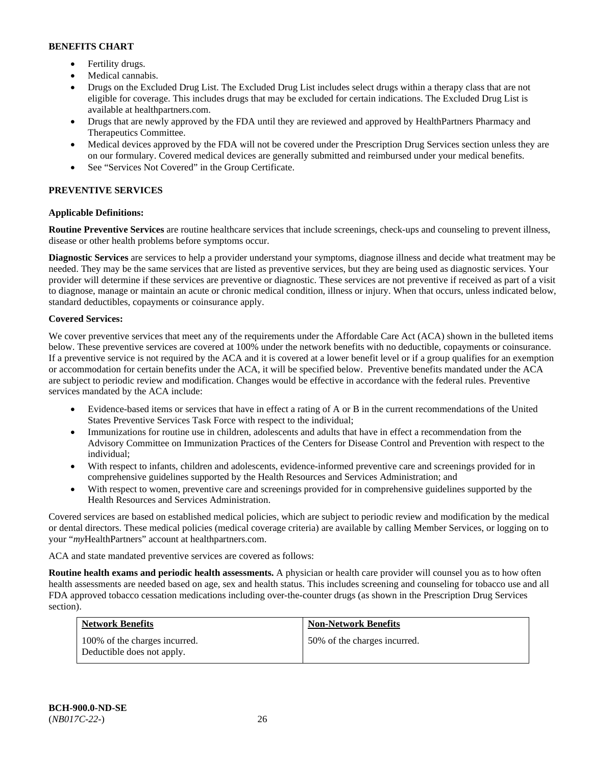- Fertility drugs.
- Medical cannabis.
- Drugs on the Excluded Drug List. The Excluded Drug List includes select drugs within a therapy class that are not eligible for coverage. This includes drugs that may be excluded for certain indications. The Excluded Drug List is available at [healthpartners.com.](http://www.healthpartners.com/)
- Drugs that are newly approved by the FDA until they are reviewed and approved by HealthPartners Pharmacy and Therapeutics Committee.
- Medical devices approved by the FDA will not be covered under the Prescription Drug Services section unless they are on our formulary. Covered medical devices are generally submitted and reimbursed under your medical benefits.
- See "Services Not Covered" in the Group Certificate.

# **PREVENTIVE SERVICES**

# **Applicable Definitions:**

**Routine Preventive Services** are routine healthcare services that include screenings, check-ups and counseling to prevent illness, disease or other health problems before symptoms occur.

**Diagnostic Services** are services to help a provider understand your symptoms, diagnose illness and decide what treatment may be needed. They may be the same services that are listed as preventive services, but they are being used as diagnostic services. Your provider will determine if these services are preventive or diagnostic. These services are not preventive if received as part of a visit to diagnose, manage or maintain an acute or chronic medical condition, illness or injury. When that occurs, unless indicated below, standard deductibles, copayments or coinsurance apply.

### **Covered Services:**

We cover preventive services that meet any of the requirements under the Affordable Care Act (ACA) shown in the bulleted items below. These preventive services are covered at 100% under the network benefits with no deductible, copayments or coinsurance. If a preventive service is not required by the ACA and it is covered at a lower benefit level or if a group qualifies for an exemption or accommodation for certain benefits under the ACA, it will be specified below. Preventive benefits mandated under the ACA are subject to periodic review and modification. Changes would be effective in accordance with the federal rules. Preventive services mandated by the ACA include:

- Evidence-based items or services that have in effect a rating of A or B in the current recommendations of the United States Preventive Services Task Force with respect to the individual;
- Immunizations for routine use in children, adolescents and adults that have in effect a recommendation from the Advisory Committee on Immunization Practices of the Centers for Disease Control and Prevention with respect to the individual;
- With respect to infants, children and adolescents, evidence-informed preventive care and screenings provided for in comprehensive guidelines supported by the Health Resources and Services Administration; and
- With respect to women, preventive care and screenings provided for in comprehensive guidelines supported by the Health Resources and Services Administration.

Covered services are based on established medical policies, which are subject to periodic review and modification by the medical or dental directors. These medical policies (medical coverage criteria) are available by calling Member Services, or logging on to your "*my*HealthPartners" account at [healthpartners.com.](http://www.healthpartners.com/) 

ACA and state mandated preventive services are covered as follows:

**Routine health exams and periodic health assessments.** A physician or health care provider will counsel you as to how often health assessments are needed based on age, sex and health status. This includes screening and counseling for tobacco use and all FDA approved tobacco cessation medications including over-the-counter drugs (as shown in the Prescription Drug Services section).

| <b>Network Benefits</b>                                     | <b>Non-Network Benefits</b>  |
|-------------------------------------------------------------|------------------------------|
| 100% of the charges incurred.<br>Deductible does not apply. | 50% of the charges incurred. |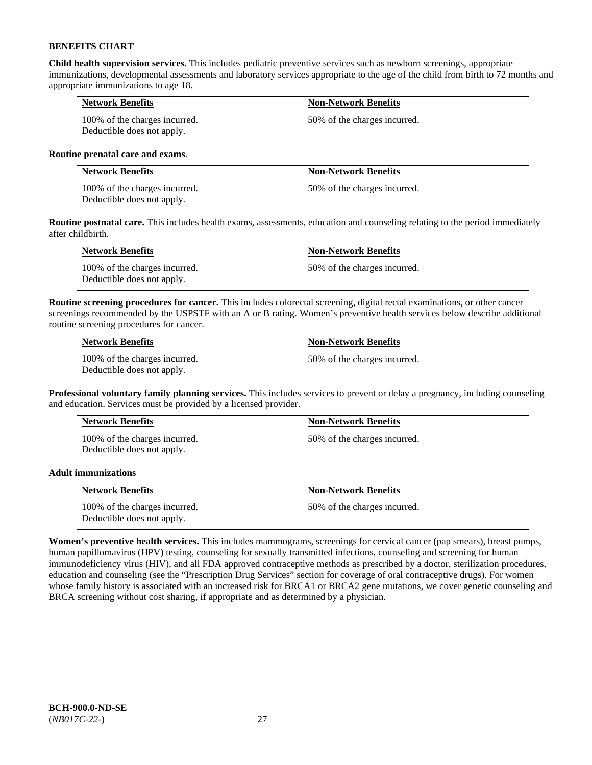**Child health supervision services.** This includes pediatric preventive services such as newborn screenings, appropriate immunizations, developmental assessments and laboratory services appropriate to the age of the child from birth to 72 months and appropriate immunizations to age 18.

| <b>Network Benefits</b>                                     | <b>Non-Network Benefits</b>  |
|-------------------------------------------------------------|------------------------------|
| 100% of the charges incurred.<br>Deductible does not apply. | 50% of the charges incurred. |

### **Routine prenatal care and exams**.

| <b>Network Benefits</b>                                     | <b>Non-Network Benefits</b>  |
|-------------------------------------------------------------|------------------------------|
| 100% of the charges incurred.<br>Deductible does not apply. | 50% of the charges incurred. |

**Routine postnatal care.** This includes health exams, assessments, education and counseling relating to the period immediately after childbirth.

| <b>Network Benefits</b>                                     | <b>Non-Network Benefits</b>  |
|-------------------------------------------------------------|------------------------------|
| 100% of the charges incurred.<br>Deductible does not apply. | 50% of the charges incurred. |

**Routine screening procedures for cancer.** This includes colorectal screening, digital rectal examinations, or other cancer screenings recommended by the USPSTF with an A or B rating. Women's preventive health services below describe additional routine screening procedures for cancer.

| <b>Network Benefits</b>                                     | <b>Non-Network Benefits</b>  |
|-------------------------------------------------------------|------------------------------|
| 100% of the charges incurred.<br>Deductible does not apply. | 50% of the charges incurred. |

**Professional voluntary family planning services.** This includes services to prevent or delay a pregnancy, including counseling and education. Services must be provided by a licensed provider.

| <b>Network Benefits</b>                                     | <b>Non-Network Benefits</b>  |
|-------------------------------------------------------------|------------------------------|
| 100% of the charges incurred.<br>Deductible does not apply. | 50% of the charges incurred. |

### **Adult immunizations**

| <b>Network Benefits</b>                                     | <b>Non-Network Benefits</b>  |
|-------------------------------------------------------------|------------------------------|
| 100% of the charges incurred.<br>Deductible does not apply. | 50% of the charges incurred. |

**Women's preventive health services.** This includes mammograms, screenings for cervical cancer (pap smears), breast pumps, human papillomavirus (HPV) testing, counseling for sexually transmitted infections, counseling and screening for human immunodeficiency virus (HIV), and all FDA approved contraceptive methods as prescribed by a doctor, sterilization procedures, education and counseling (see the "Prescription Drug Services" section for coverage of oral contraceptive drugs). For women whose family history is associated with an increased risk for BRCA1 or BRCA2 gene mutations, we cover genetic counseling and BRCA screening without cost sharing, if appropriate and as determined by a physician.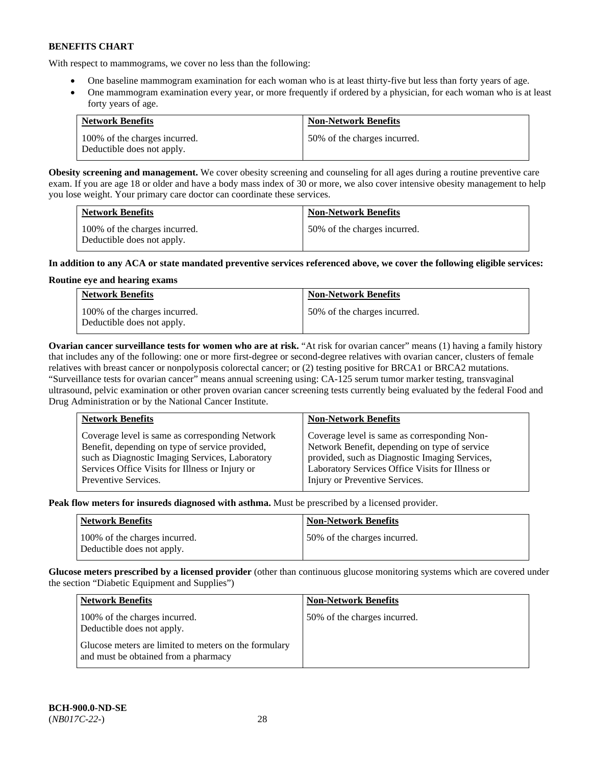With respect to mammograms, we cover no less than the following:

- One baseline mammogram examination for each woman who is at least thirty-five but less than forty years of age.
- One mammogram examination every year, or more frequently if ordered by a physician, for each woman who is at least forty years of age.

| <b>Network Benefits</b>                                     | <b>Non-Network Benefits</b>  |
|-------------------------------------------------------------|------------------------------|
| 100% of the charges incurred.<br>Deductible does not apply. | 50% of the charges incurred. |

**Obesity screening and management.** We cover obesity screening and counseling for all ages during a routine preventive care exam. If you are age 18 or older and have a body mass index of 30 or more, we also cover intensive obesity management to help you lose weight. Your primary care doctor can coordinate these services.

| <b>Network Benefits</b>                                     | <b>Non-Network Benefits</b>  |
|-------------------------------------------------------------|------------------------------|
| 100% of the charges incurred.<br>Deductible does not apply. | 50% of the charges incurred. |

### **In addition to any ACA or state mandated preventive services referenced above, we cover the following eligible services:**

### **Routine eye and hearing exams**

| <b>Network Benefits</b>                                     | <b>Non-Network Benefits</b>  |
|-------------------------------------------------------------|------------------------------|
| 100% of the charges incurred.<br>Deductible does not apply. | 50% of the charges incurred. |

**Ovarian cancer surveillance tests for women who are at risk.** "At risk for ovarian cancer" means (1) having a family history that includes any of the following: one or more first-degree or second-degree relatives with ovarian cancer, clusters of female relatives with breast cancer or nonpolyposis colorectal cancer; or (2) testing positive for BRCA1 or BRCA2 mutations. "Surveillance tests for ovarian cancer" means annual screening using: CA-125 serum tumor marker testing, transvaginal ultrasound, pelvic examination or other proven ovarian cancer screening tests currently being evaluated by the federal Food and Drug Administration or by the National Cancer Institute.

| <b>Network Benefits</b>                         | <b>Non-Network Benefits</b>                      |
|-------------------------------------------------|--------------------------------------------------|
| Coverage level is same as corresponding Network | Coverage level is same as corresponding Non-     |
| Benefit, depending on type of service provided, | Network Benefit, depending on type of service    |
| such as Diagnostic Imaging Services, Laboratory | provided, such as Diagnostic Imaging Services,   |
| Services Office Visits for Illness or Injury or | Laboratory Services Office Visits for Illness or |
| Preventive Services.                            | Injury or Preventive Services.                   |

**Peak flow meters for insureds diagnosed with asthma.** Must be prescribed by a licensed provider.

| <b>Network Benefits</b>                                     | <b>Non-Network Benefits</b>  |
|-------------------------------------------------------------|------------------------------|
| 100% of the charges incurred.<br>Deductible does not apply. | 50% of the charges incurred. |

**Glucose meters prescribed by a licensed provider** (other than continuous glucose monitoring systems which are covered under the section "Diabetic Equipment and Supplies")

| <b>Network Benefits</b>                                                                       | <b>Non-Network Benefits</b>  |
|-----------------------------------------------------------------------------------------------|------------------------------|
| 100% of the charges incurred.<br>Deductible does not apply.                                   | 50% of the charges incurred. |
| Glucose meters are limited to meters on the formulary<br>and must be obtained from a pharmacy |                              |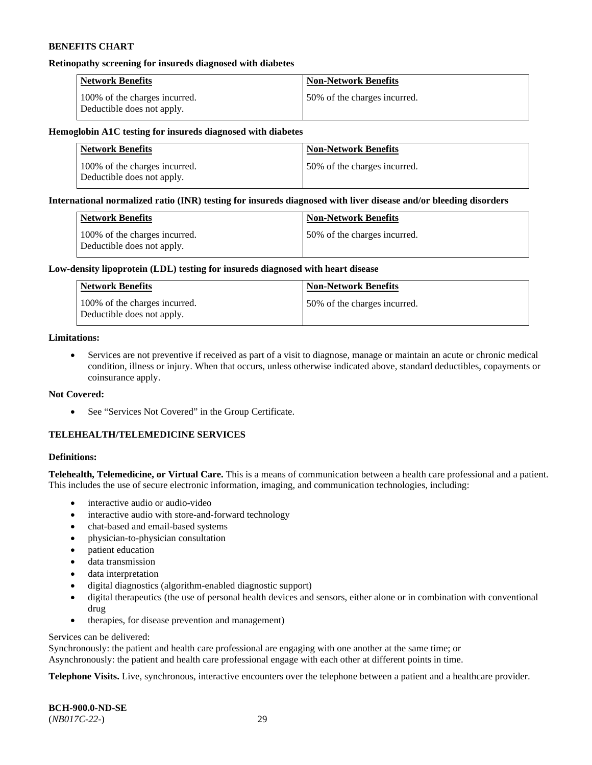#### **Retinopathy screening for insureds diagnosed with diabetes**

| <b>Network Benefits</b>                                     | <b>Non-Network Benefits</b>  |
|-------------------------------------------------------------|------------------------------|
| 100% of the charges incurred.<br>Deductible does not apply. | 50% of the charges incurred. |

#### **Hemoglobin A1C testing for insureds diagnosed with diabetes**

| <b>Network Benefits</b>                                     | <b>Non-Network Benefits</b>  |
|-------------------------------------------------------------|------------------------------|
| 100% of the charges incurred.<br>Deductible does not apply. | 50% of the charges incurred. |

### **International normalized ratio (INR) testing for insureds diagnosed with liver disease and/or bleeding disorders**

| Network Benefits                                            | <b>Non-Network Benefits</b>  |
|-------------------------------------------------------------|------------------------------|
| 100% of the charges incurred.<br>Deductible does not apply. | 50% of the charges incurred. |

### **Low-density lipoprotein (LDL) testing for insureds diagnosed with heart disease**

| <b>Network Benefits</b>                                     | <b>Non-Network Benefits</b>  |
|-------------------------------------------------------------|------------------------------|
| 100% of the charges incurred.<br>Deductible does not apply. | 50% of the charges incurred. |

### **Limitations:**

• Services are not preventive if received as part of a visit to diagnose, manage or maintain an acute or chronic medical condition, illness or injury. When that occurs, unless otherwise indicated above, standard deductibles, copayments or coinsurance apply.

#### **Not Covered:**

• See "Services Not Covered" in the Group Certificate.

# **TELEHEALTH/TELEMEDICINE SERVICES**

### **Definitions:**

**Telehealth, Telemedicine, or Virtual Care.** This is a means of communication between a health care professional and a patient. This includes the use of secure electronic information, imaging, and communication technologies, including:

- interactive audio or audio-video
- interactive audio with store-and-forward technology
- chat-based and email-based systems
- physician-to-physician consultation
- patient education
- data transmission
- data interpretation
- digital diagnostics (algorithm-enabled diagnostic support)
- digital therapeutics (the use of personal health devices and sensors, either alone or in combination with conventional drug
- therapies, for disease prevention and management)

### Services can be delivered:

Synchronously: the patient and health care professional are engaging with one another at the same time; or Asynchronously: the patient and health care professional engage with each other at different points in time.

**Telephone Visits.** Live, synchronous, interactive encounters over the telephone between a patient and a healthcare provider.

**BCH-900.0-ND-SE** (*NB017C-22-*) 29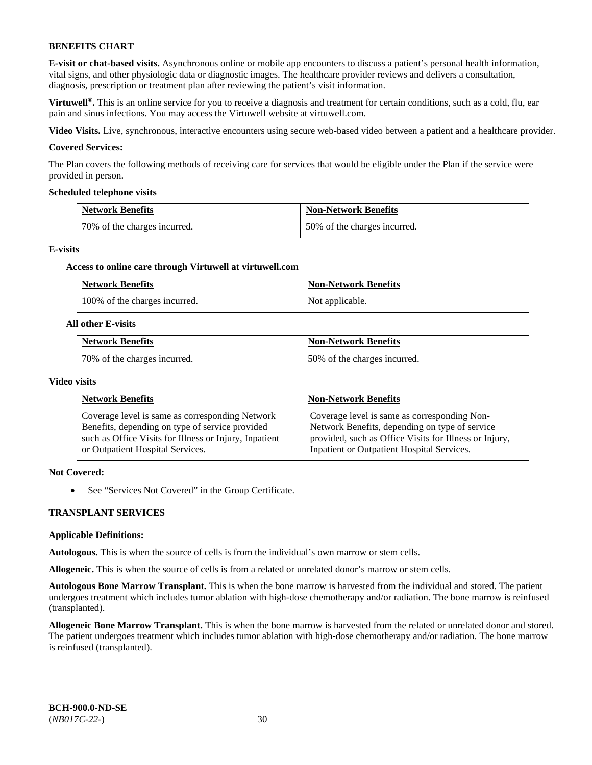**E-visit or chat-based visits.** Asynchronous online or mobile app encounters to discuss a patient's personal health information, vital signs, and other physiologic data or diagnostic images. The healthcare provider reviews and delivers a consultation, diagnosis, prescription or treatment plan after reviewing the patient's visit information.

**Virtuwell<sup>®</sup>**. This is an online service for you to receive a diagnosis and treatment for certain conditions, such as a cold, flu, ear pain and sinus infections. You may access the Virtuwell website at [virtuwell.com.](https://www.virtuwell.com/)

**Video Visits.** Live, synchronous, interactive encounters using secure web-based video between a patient and a healthcare provider.

#### **Covered Services:**

The Plan covers the following methods of receiving care for services that would be eligible under the Plan if the service were provided in person.

#### **Scheduled telephone visits**

| <b>Network Benefits</b>      | <b>Non-Network Benefits</b>  |
|------------------------------|------------------------------|
| 70% of the charges incurred. | 50% of the charges incurred. |

#### **E-visits**

#### **Access to online care through Virtuwell at [virtuwell.com](https://www.virtuwell.com/)**

| <b>Network Benefits</b>       | <b>Non-Network Benefits</b> |
|-------------------------------|-----------------------------|
| 100% of the charges incurred. | Not applicable.             |

#### **All other E-visits**

| <b>Network Benefits</b>      | <b>Non-Network Benefits</b>  |
|------------------------------|------------------------------|
| 70% of the charges incurred. | 50% of the charges incurred. |

#### **Video visits**

| <b>Network Benefits</b>                                | <b>Non-Network Benefits</b>                            |
|--------------------------------------------------------|--------------------------------------------------------|
| Coverage level is same as corresponding Network        | Coverage level is same as corresponding Non-           |
| Benefits, depending on type of service provided        | Network Benefits, depending on type of service         |
| such as Office Visits for Illness or Injury, Inpatient | provided, such as Office Visits for Illness or Injury, |
| or Outpatient Hospital Services.                       | Inpatient or Outpatient Hospital Services.             |

### **Not Covered:**

• See "Services Not Covered" in the Group Certificate.

#### **TRANSPLANT SERVICES**

#### **Applicable Definitions:**

**Autologous.** This is when the source of cells is from the individual's own marrow or stem cells.

**Allogeneic.** This is when the source of cells is from a related or unrelated donor's marrow or stem cells.

**Autologous Bone Marrow Transplant.** This is when the bone marrow is harvested from the individual and stored. The patient undergoes treatment which includes tumor ablation with high-dose chemotherapy and/or radiation. The bone marrow is reinfused (transplanted).

**Allogeneic Bone Marrow Transplant.** This is when the bone marrow is harvested from the related or unrelated donor and stored. The patient undergoes treatment which includes tumor ablation with high-dose chemotherapy and/or radiation. The bone marrow is reinfused (transplanted).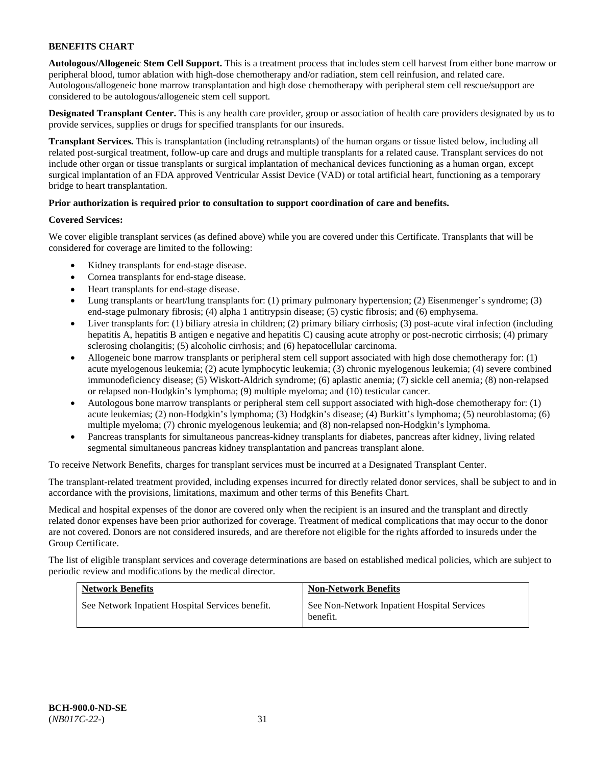**Autologous/Allogeneic Stem Cell Support.** This is a treatment process that includes stem cell harvest from either bone marrow or peripheral blood, tumor ablation with high-dose chemotherapy and/or radiation, stem cell reinfusion, and related care. Autologous/allogeneic bone marrow transplantation and high dose chemotherapy with peripheral stem cell rescue/support are considered to be autologous/allogeneic stem cell support.

**Designated Transplant Center.** This is any health care provider, group or association of health care providers designated by us to provide services, supplies or drugs for specified transplants for our insureds.

**Transplant Services.** This is transplantation (including retransplants) of the human organs or tissue listed below, including all related post-surgical treatment, follow-up care and drugs and multiple transplants for a related cause. Transplant services do not include other organ or tissue transplants or surgical implantation of mechanical devices functioning as a human organ, except surgical implantation of an FDA approved Ventricular Assist Device (VAD) or total artificial heart, functioning as a temporary bridge to heart transplantation.

### **Prior authorization is required prior to consultation to support coordination of care and benefits.**

### **Covered Services:**

We cover eligible transplant services (as defined above) while you are covered under this Certificate. Transplants that will be considered for coverage are limited to the following:

- Kidney transplants for end-stage disease.
- Cornea transplants for end-stage disease.
- Heart transplants for end-stage disease.
- Lung transplants or heart/lung transplants for: (1) primary pulmonary hypertension; (2) Eisenmenger's syndrome; (3) end-stage pulmonary fibrosis; (4) alpha 1 antitrypsin disease; (5) cystic fibrosis; and (6) emphysema.
- Liver transplants for: (1) biliary atresia in children; (2) primary biliary cirrhosis; (3) post-acute viral infection (including hepatitis A, hepatitis B antigen e negative and hepatitis C) causing acute atrophy or post-necrotic cirrhosis; (4) primary sclerosing cholangitis; (5) alcoholic cirrhosis; and (6) hepatocellular carcinoma.
- Allogeneic bone marrow transplants or peripheral stem cell support associated with high dose chemotherapy for: (1) acute myelogenous leukemia; (2) acute lymphocytic leukemia; (3) chronic myelogenous leukemia; (4) severe combined immunodeficiency disease; (5) Wiskott-Aldrich syndrome; (6) aplastic anemia; (7) sickle cell anemia; (8) non-relapsed or relapsed non-Hodgkin's lymphoma; (9) multiple myeloma; and (10) testicular cancer.
- Autologous bone marrow transplants or peripheral stem cell support associated with high-dose chemotherapy for: (1) acute leukemias; (2) non-Hodgkin's lymphoma; (3) Hodgkin's disease; (4) Burkitt's lymphoma; (5) neuroblastoma; (6) multiple myeloma; (7) chronic myelogenous leukemia; and (8) non-relapsed non-Hodgkin's lymphoma.
- Pancreas transplants for simultaneous pancreas-kidney transplants for diabetes, pancreas after kidney, living related segmental simultaneous pancreas kidney transplantation and pancreas transplant alone.

To receive Network Benefits, charges for transplant services must be incurred at a Designated Transplant Center.

The transplant-related treatment provided, including expenses incurred for directly related donor services, shall be subject to and in accordance with the provisions, limitations, maximum and other terms of this Benefits Chart.

Medical and hospital expenses of the donor are covered only when the recipient is an insured and the transplant and directly related donor expenses have been prior authorized for coverage. Treatment of medical complications that may occur to the donor are not covered. Donors are not considered insureds, and are therefore not eligible for the rights afforded to insureds under the Group Certificate.

The list of eligible transplant services and coverage determinations are based on established medical policies, which are subject to periodic review and modifications by the medical director.

| <b>Network Benefits</b>                          | <b>Non-Network Benefits</b>                             |
|--------------------------------------------------|---------------------------------------------------------|
| See Network Inpatient Hospital Services benefit. | See Non-Network Inpatient Hospital Services<br>benefit. |